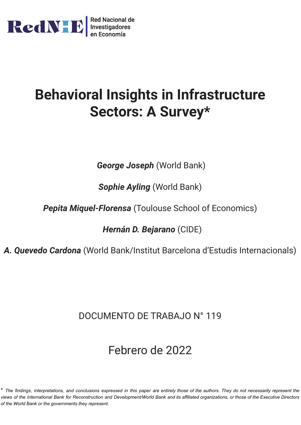

# **Behavioral Insights in Infrastructure Sectors: A Survey\***

*George Joseph* (World Bank)

*Sophie Ayling* (World Bank)

*Pepita Miquel-Florensa* (Toulouse School of Economics)

*Hernán D. Bejarano* (CIDE)

*A. Quevedo Cardona* (World Bank/Institut Barcelona d'Estudis Internacionals)

# DOCUMENTO DE TRABAJO N° 119

# Febrero de 2022

\* The findings, interpretations, and conclusions expressed in this paper are entirely those of the authors. They do not necessarily represent the views of the International Bank for Reconstruction and Development/World Bank and its affiliated organizations, or those of the Executive Directors *of the World Bank or the governments they represent.*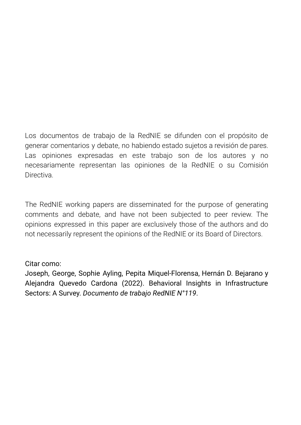Los documentos de trabajo de la RedNIE se difunden con el propósito de generar comentarios y debate, no habiendo estado sujetos a revisión de pares. Las opiniones expresadas en este trabajo son de los autores y no necesariamente representan las opiniones de la RedNIE o su Comisión **Directiva** 

The RedNIE working papers are disseminated for the purpose of generating comments and debate, and have not been subjected to peer review. The opinions expressed in this paper are exclusively those of the authors and do not necessarily represent the opinions of the RedNIE or its Board of Directors.

### Citar como:

Joseph, George, Sophie Ayling, Pepita Miquel-Florensa, Hernán D. Bejarano y Alejandra Quevedo Cardona (2022). Behavioral Insights in Infrastructure Sectors: A Survey. *Documento de trabajo RedNIE N°119*.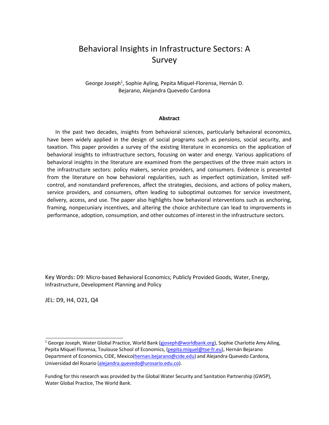# Behavioral Insights in Infrastructure Sectors: A Survey

George Joseph<sup>1</sup>, Sophie Ayling, Pepita Miquel-Florensa, Hernán D. Bejarano, Alejandra Quevedo Cardona

#### **Abstract**

In the past two decades, insights from behavioral sciences, particularly behavioral economics, have been widely applied in the design of social programs such as pensions, social security, and taxation. This paper provides a survey of the existing literature in economics on the application of behavioral insights to infrastructure sectors, focusing on water and energy. Various applications of behavioral insights in the literature are examined from the perspectives of the three main actors in the infrastructure sectors: policy makers, service providers, and consumers. Evidence is presented from the literature on how behavioral regularities, such as imperfect optimization, limited selfcontrol, and nonstandard preferences, affect the strategies, decisions, and actions of policy makers, service providers, and consumers, often leading to suboptimal outcomes for service investment, delivery, access, and use. The paper also highlights how behavioral interventions such as anchoring, framing, nonpecuniary incentives, and altering the choice architecture can lead to improvements in performance, adoption, consumption, and other outcomes of interest in the infrastructure sectors.

Key Words: D9: Micro-based Behavioral Economics; Publicly Provided Goods, Water, Energy, Infrastructure, Development Planning and Policy

JEL: D9, H4, O21, Q4

<sup>&</sup>lt;sup>1</sup> George Joseph, Water Global Practice, World Bank (gjoseph@worldbank.org), Sophie Charlotte Amy Ailing, Pepita Miquel Florensa, Toulouse School of Economics, (pepita.miquel@tse-fr.eu), Hernán Bejarano Department of Economics, CIDE, Mexico(hernan.bejarano@cide.edu) and Alejandra Quevedo Cardona, Universidad del Rosario (alejandra.quevedo@urosario.edu.co).

Funding for this research was provided by the Global Water Security and Sanitation Partnership (GWSP), Water Global Practice, The World Bank.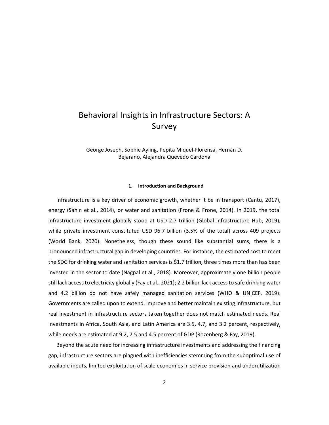## Behavioral Insights in Infrastructure Sectors: A Survey

George Joseph, Sophie Ayling, Pepita Miquel-Florensa, Hernán D. Bejarano, Alejandra Quevedo Cardona

#### **1. Introduction and Background**

Infrastructure is a key driver of economic growth, whether it be in transport [\(Cantu, 2017\)](#page-41-0), energy [\(Sahin et al., 2014\)](#page-41-0), or water and sanitation [\(Frone & Frone, 2014\)](#page-41-0). In 2019, the total infrastructure investment globally stood at USD 2.7 trillion [\(Global Infrastructure Hub, 2019\)](#page-41-0), while private investment constituted USD 96.7 billion (3.5% of the total) across 409 projects [\(World Bank,](#page-41-0) [2020\)](#page-41-0). Nonetheless, though these sound like substantial sums, there is a pronounced infrastructural gap in developing countries. For instance, the estimated cost to meet the SDG for drinking water and sanitation services is \$1.7 trillion, three times more than has been invested in the sector to date [\(Nagpal et al., 2018\)](#page-41-0). Moreover, approximately one billion people still lack access to electricity globally [\(Fay et al., 2021\)](#page-41-0); 2.2 billion lack access to safe drinking water and 4.2 billion do not have safely managed sanitation services (WHO & UNICEF, 2019). Governments are called upon to extend, improve and better maintain existing infrastructure, but real investment in infrastructure sectors taken together does not match estimated needs. Real investments in Africa, South Asia, and Latin America are 3.5, 4.7, and 3.2 percent, respectively, while needs are estimated at 9.2, 7.5 and 4.5 percent of GDP [\(Rozenberg & Fay, 2019\)](#page-41-0).

Beyond the acute need for increasing infrastructure investments and addressing the financing gap, infrastructure sectors are plagued with inefficiencies stemming from the suboptimal use of available inputs, limited exploitation of scale economies in service provision and underutilization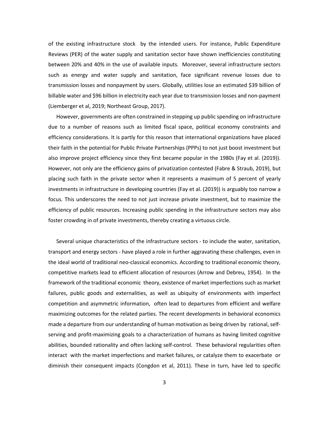of the existing infrastructure stock by the intended users. For instance, Public Expenditure Reviews (PER) of the water supply and sanitation sector have shown inefficiencies constituting between 20% and 40% in the use of available inputs. Moreover, several infrastructure sectors such as energy and water supply and sanitation, face significant revenue losses due to transmission losses and nonpayment by users. Globally, utilities lose an estimated \$39 billion of billable water and \$96 billion in electricity each year due to transmission losses and non-payment (Liemberger et al, 2019; Northeast Group, 2017).

However, governments are often constrained in stepping up public spending on infrastructure due to a number of reasons such as limited fiscal space, political economy constraints and efficiency considerations. It is partly for this reason that international organizations have placed their faith in the potential for Public Private Partnerships (PPPs) to not just boost investment but also improve project efficiency since they first became popular in the 1980s [\(Fay et al. \(2019\)](#page-41-0)). However, not only are the efficiency gains of privatization contested [\(Fabre & Straub, 2019\)](#page-41-0), but placing such faith in the private sector when it represents a maximum of 5 percent of yearly investments in infrastructure in developing countries [\(Fay et al. \(2019\)](#page-41-0)) is arguably too narrow a focus. This underscores the need to not just increase private investment, but to maximize the efficiency of public resources. Increasing public spending in the infrastructure sectors may also foster crowding in of private investments, thereby creating a virtuous circle.

Several unique characteristics of the infrastructure sectors - to include the water, sanitation, transport and energy sectors - have played a role in further aggravating these challenges, even in the ideal world of traditional neo-classical economics. According to traditional economic theory, competitive markets lead to efficient allocation of resources (Arrow and Debreu, 1954). In the framework of the traditional economic theory, existence of market imperfections such as market failures, public goods and externalities, as well as ubiquity of environments with imperfect competition and asymmetric information, often lead to departures from efficient and welfare maximizing outcomes for the related parties. The recent developments in behavioral economics made a departure from our understanding of human motivation as being driven by rational, selfserving and profit-maximizing goals to a characterization of humans as having limited cognitive abilities, bounded rationality and often lacking self-control. These behavioral regularities often interact with the market imperfections and market failures, or catalyze them to exacerbate or diminish their consequent impacts (Congdon et al, 2011). These in turn, have led to specific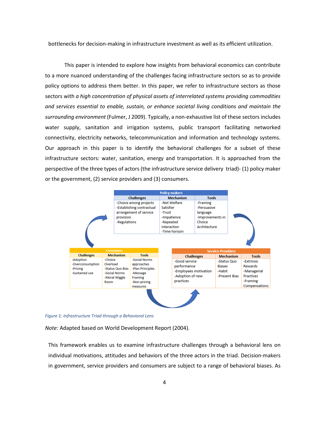bottlenecks for decision-making in infrastructure investment as well as its efficient utilization.

This paper is intended to explore how insights from behavioral economics can contribute to a more nuanced understanding of the challenges facing infrastructure sectors so as to provide policy options to address them better. In this paper, we refer to infrastructure sectors as those sectors with *a high concentration of physical assets of interrelated systems providing commodities and services essential to enable, sustain, or enhance societal living conditions and maintain the surrounding environment* (Fulmer, J 2009). Typically, a non-exhaustive list of these sectors includes water supply, sanitation and irrigation systems, public transport facilitating networked connectivity, electricity networks, telecommunication and information and technology systems. Our approach in this paper is to identify the behavioral challenges for a subset of these infrastructure sectors: water, sanitation, energy and transportation. It is approached from the perspective of the three types of actors (the infrastructure service delivery triad)- (1) policy maker or the government, (2) service providers and (3) consumers.

|                   |                              | <b>Policy makers</b>      |                                |                  |                                                    |                          |                  |               |
|-------------------|------------------------------|---------------------------|--------------------------------|------------------|----------------------------------------------------|--------------------------|------------------|---------------|
|                   |                              | <b>Challenges</b>         |                                | <b>Mechanism</b> |                                                    | <b>Tools</b>             |                  |               |
|                   |                              | -Choice among projects    |                                | -Not Welfare     |                                                    | -Framing                 |                  |               |
|                   |                              | -Establishing contractual |                                | Satisfier        |                                                    | -Persuasive              |                  |               |
|                   |                              | arrangement of service    |                                | -Trust           |                                                    | language                 |                  |               |
|                   |                              | provision                 |                                | -Impatience      |                                                    |                          | -Improvements in |               |
|                   |                              |                           | -Regulations                   |                  | Choice<br>-Repeated<br>Architecture<br>Interaction |                          |                  |               |
|                   |                              |                           |                                |                  |                                                    |                          |                  |               |
|                   |                              |                           |                                |                  | -Time horizon                                      |                          |                  |               |
|                   |                              |                           |                                |                  |                                                    |                          |                  |               |
| <b>Consumers</b>  |                              |                           |                                |                  |                                                    | <b>Service Providers</b> |                  |               |
| <b>Challenges</b> |                              | <b>Mechanism</b>          | Tools                          |                  | <b>Challenges</b>                                  |                          | <b>Mechanism</b> | <b>Tools</b>  |
| -Adoption         | -Choice                      |                           | -Social Norms                  |                  | -Good service                                      |                          | -Status Quo      | -Extrinsic    |
| -Overconsumption  | Overload<br>-Status Quo Bias |                           | approaches<br>-Plan Principles |                  | performance                                        |                          | <b>Biases</b>    | Rewards       |
|                   |                              |                           |                                |                  |                                                    |                          |                  |               |
| -Pricing          |                              |                           |                                |                  | -Employees motivation                              |                          | -Habit           | -Managerial   |
| -Sustained use    |                              | -Social Norms             | -Message                       |                  | -Adoption of new                                   |                          | -Present Bias    | Practices     |
|                   | Room                         | -Moral Wiggle             | Framing<br>-Non-pricing        |                  | practices                                          |                          |                  | -Framing      |
|                   |                              |                           | measures                       |                  |                                                    |                          |                  | Compensations |

*Figure 1: Infrastructure Triad through a Behavioral Lens*

*Note:* Adapted based on World Development Report (2004).

This framework enables us to examine infrastructure challenges through a behavioral lens on individual motivations, attitudes and behaviors of the three actors in the triad. Decision-makers in government, service providers and consumers are subject to a range of behavioral biases. As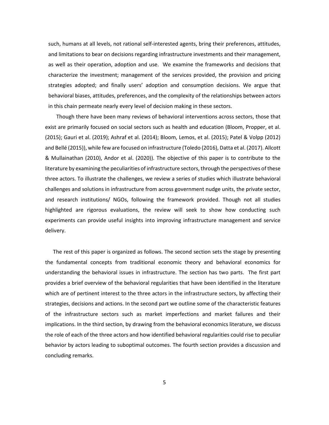such, humans at all levels, not rational self-interested agents, bring their preferences, attitudes, and limitations to bear on decisions regarding infrastructure investments and their management, as well as their operation, adoption and use. We examine the frameworks and decisions that characterize the investment; management of the services provided, the provision and pricing strategies adopted; and finally users' adoption and consumption decisions. We argue that behavioral biases, attitudes, preferences, and the complexity of the relationships between actors in this chain permeate nearly every level of decision making in these sectors.

Though there have been many reviews of behavioral interventions across sectors, those that exist are primarily focused on social sectors such as health and education (Bloom, Propper, et al. (2015); Gauri et al. (2019); Ashraf et al. (2014); Bloom, Lemos, et al. (2015); Patel & Volpp (2012) and Bellé (2015)), while few are focused on infrastructure (Toledo (2016), Datta et al. (2017). Allcott & Mullainathan (2010), Andor et al. (2020)). The objective of this paper is to contribute to the literature by examining the peculiarities of infrastructure sectors, through the perspectives of these three actors. To illustrate the challenges, we review a series of studies which illustrate behavioral challenges and solutions in infrastructure from across government nudge units, the private sector, and research institutions/ NGOs, following the framework provided. Though not all studies highlighted are rigorous evaluations, the review will seek to show how conducting such experiments can provide useful insights into improving infrastructure management and service delivery.

The rest of this paper is organized as follows. The second section sets the stage by presenting the fundamental concepts from traditional economic theory and behavioral economics for understanding the behavioral issues in infrastructure. The section has two parts. The first part provides a brief overview of the behavioral regularities that have been identified in the literature which are of pertinent interest to the three actors in the infrastructure sectors, by affecting their strategies, decisions and actions. In the second part we outline some of the characteristic features of the infrastructure sectors such as market imperfections and market failures and their implications. In the third section, by drawing from the behavioral economics literature, we discuss the role of each of the three actors and how identified behavioral regularities could rise to peculiar behavior by actors leading to suboptimal outcomes. The fourth section provides a discussion and concluding remarks.

5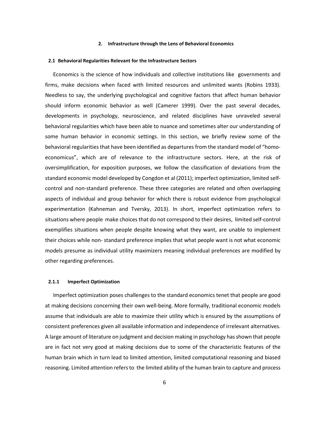#### **2. Infrastructure through the Lens of Behavioral Economics**

#### **2.1 Behavioral Regularities Relevant for the Infrastructure Sectors**

Economics is the science of how individuals and collective institutions like governments and firms, make decisions when faced with limited resources and unlimited wants (Robins 1933). Needless to say, the underlying psychological and cognitive factors that affect human behavior should inform economic behavior as well (Camerer 1999). Over the past several decades, developments in psychology, neuroscience, and related disciplines have unraveled several behavioral regularities which have been able to nuance and sometimes alter our understanding of some human behavior in economic settings. In this section, we briefly review some of the behavioral regularities that have been identified as departures from the standard model of "homoeconomicus", which are of relevance to the infrastructure sectors. Here, at the risk of oversimplification, for exposition purposes, we follow the classification of deviations from the standard economic model developed by Congdon et al (2011); imperfect optimization, limited selfcontrol and non-standard preference. These three categories are related and often overlapping aspects of individual and group behavior for which there is robust evidence from psychological experimentation (Kahneman and Tversky, 2013). In short, imperfect optimization refers to situations where people make choices that do not correspond to their desires, limited self-control exemplifies situations when people despite knowing what they want, are unable to implement their choices while non- standard preference implies that what people want is not what economic models presume as individual utility maximizers meaning individual preferences are modified by other regarding preferences.

#### **2.1.1 Imperfect Optimization**

Imperfect optimization poses challenges to the standard economics tenet that people are good at making decisions concerning their own well-being. More formally, traditional economic models assume that individuals are able to maximize their utility which is ensured by the assumptions of consistent preferences given all available information and independence of irrelevant alternatives. A large amount of literature on judgment and decision making in psychology hasshown that people are in fact not very good at making decisions due to some of the characteristic features of the human brain which in turn lead to limited attention, limited computational reasoning and biased reasoning. Limited attention refers to the limited ability of the human brain to capture and process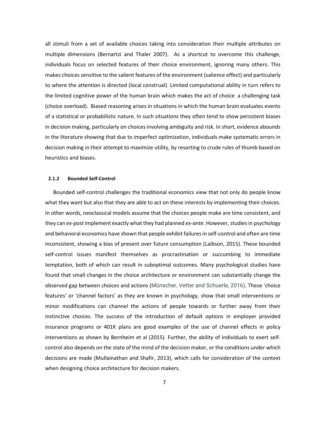all stimuli from a set of available choices taking into consideration their multiple attributes on multiple dimensions (Bernartzi and Thaler 2007). As a shortcut to overcome this challenge, individuals focus on selected features of their choice environment, ignoring many others. This makes choices sensitive to the salient features of the environment (salience effect) and particularly to where the attention is directed (local construal). Limited computational ability in turn refers to the limited cognitive power of the human brain which makes the act of choice a challenging task (choice overload). Biased reasoning arises in situations in which the human brain evaluates events of a statistical or probabilistic nature. In such situations they often tend to show persistent biases in decision making, particularly on choices involving ambiguity and risk. In short, evidence abounds in the literature showing that due to imperfect optimization, individuals make systematic errors in decision making in their attempt to maximize utility, by resorting to crude rules of thumb based on heuristics and biases.

#### **2.1.2 Bounded Self-Control**

Bounded self-control challenges the traditional economics view that not only do people know what they want but also that they are able to act on these interests by implementing their choices. In other words, neoclassical models assume that the choices people make are time consistent, and they can *ex-post* implement exactly what they had planned *ex-ante*. However, studies in psychology and behavioral economics have shown that people exhibit failures in self-control and often are time inconsistent, showing a bias of present over future consumption (Laibson, 2015). These bounded self-control issues manifest themselves as procrastination or succumbing to immediate temptation, both of which can result in suboptimal outcomes. Many psychological studies have found that small changes in the choice architecture or environment can substantially change the observed gap between choices and actions (Münscher, Vetter and Schuerle, 2016). These 'choice features' or 'channel factors' as they are known in psychology, show that small interventions or minor modifications can channel the actions of people towards or further away from their instinctive choices. The success of the introduction of default options in employer provided insurance programs or 401K plans are good examples of the use of channel effects in policy interventions as shown by Bernheim et al (2015). Further, the ability of individuals to exert selfcontrol also depends on the state of the mind of the decision maker, or the conditions under which decisions are made (Mullainathan and Shafir, 2013), which calls for consideration of the context when designing choice architecture for decision makers.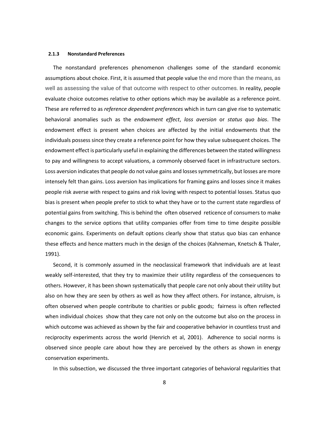#### **2.1.3 Nonstandard Preferences**

The nonstandard preferences phenomenon challenges some of the standard economic assumptions about choice. First, it is assumed that people value the end more than the means, as well as assessing the value of that outcome with respect to other outcomes. In reality, people evaluate choice outcomes relative to other options which may be available as a reference point. These are referred to as *reference dependent preferences* which in turn can give rise to systematic behavioral anomalies such as the *endowment effect*, *loss aversion* or *status quo bias*. The endowment effect is present when choices are affected by the initial endowments that the individuals possess since they create a reference point for how they value subsequent choices. The endowment effect is particularly useful in explaining the differences between the stated willingness to pay and willingness to accept valuations, a commonly observed facet in infrastructure sectors. Loss aversion indicates that people do not value gains and losses symmetrically, but losses are more intensely felt than gains. Loss aversion has implications for framing gains and losses since it makes people risk averse with respect to gains and risk loving with respect to potential losses. Status quo bias is present when people prefer to stick to what they have or to the current state regardless of potential gains from switching. This is behind the often observed reticence of consumers to make changes to the service options that utility companies offer from time to time despite possible economic gains. Experiments on default options clearly show that status quo bias can enhance these effects and hence matters much in the design of the choices (Kahneman, Knetsch & Thaler, 1991).

Second, it is commonly assumed in the neoclassical framework that individuals are at least weakly self-interested, that they try to maximize their utility regardless of the consequences to others. However, it has been shown systematically that people care not only about their utility but also on how they are seen by others as well as how they affect others. For instance, altruism, is often observed when people contribute to charities or public goods; fairness is often reflected when individual choices show that they care not only on the outcome but also on the process in which outcome was achieved as shown by the fair and cooperative behavior in countless trust and reciprocity experiments across the world (Henrich et al, 2001). Adherence to social norms is observed since people care about how they are perceived by the others as shown in energy conservation experiments.

In this subsection, we discussed the three important categories of behavioral regularities that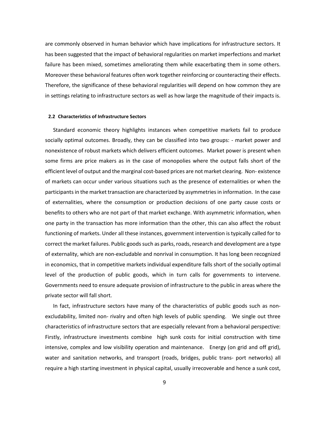are commonly observed in human behavior which have implications for infrastructure sectors. It has been suggested that the impact of behavioral regularities on market imperfections and market failure has been mixed, sometimes ameliorating them while exacerbating them in some others. Moreover these behavioral features often work together reinforcing or counteracting their effects. Therefore, the significance of these behavioral regularities will depend on how common they are in settings relating to infrastructure sectors as well as how large the magnitude of their impacts is.

#### **2.2 Characteristics of Infrastructure Sectors**

Standard economic theory highlights instances when competitive markets fail to produce socially optimal outcomes. Broadly, they can be classified into two groups: - market power and nonexistence of robust markets which delivers efficient outcomes. Market power is present when some firms are price makers as in the case of monopolies where the output falls short of the efficient level of output and the marginal cost-based prices are not market clearing. Non- existence of markets can occur under various situations such as the presence of externalities or when the participants in the market transaction are characterized by asymmetries in information. In the case of externalities, where the consumption or production decisions of one party cause costs or benefits to others who are not part of that market exchange. With asymmetric information, when one party in the transaction has more information than the other, this can also affect the robust functioning of markets. Under all these instances, government intervention is typically called for to correct the market failures. Public goods such as parks, roads, research and development are a type of externality, which are non-excludable and nonrival in consumption. It has long been recognized in economics, that in competitive markets individual expenditure falls short of the socially optimal level of the production of public goods, which in turn calls for governments to intervene. Governments need to ensure adequate provision of infrastructure to the public in areas where the private sector will fall short.

In fact, infrastructure sectors have many of the characteristics of public goods such as nonexcludability, limited non- rivalry and often high levels of public spending. We single out three characteristics of infrastructure sectors that are especially relevant from a behavioral perspective: Firstly, infrastructure investments combine high sunk costs for initial construction with time intensive, complex and low visibility operation and maintenance. Energy (on grid and off grid), water and sanitation networks, and transport (roads, bridges, public trans- port networks) all require a high starting investment in physical capital, usually irrecoverable and hence a sunk cost,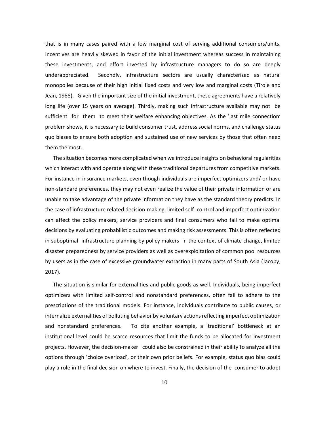that is in many cases paired with a low marginal cost of serving additional consumers/units. Incentives are heavily skewed in favor of the initial investment whereas success in maintaining these investments, and effort invested by infrastructure managers to do so are deeply underappreciated. Secondly, infrastructure sectors are usually characterized as natural monopolies because of their high initial fixed costs and very low and marginal costs (Tirole and Jean, 1988). Given the important size of the initial investment, these agreements have a relatively long life (over 15 years on average). Thirdly, making such infrastructure available may not be sufficient for them to meet their welfare enhancing objectives. As the 'last mile connection' problem shows, it is necessary to build consumer trust, address social norms, and challenge status quo biases to ensure both adoption and sustained use of new services by those that often need them the most.

The situation becomes more complicated when we introduce insights on behavioral regularities which interact with and operate along with these traditional departures from competitive markets. For instance in insurance markets, even though individuals are imperfect optimizers and/ or have non-standard preferences, they may not even realize the value of their private information or are unable to take advantage of the private information they have as the standard theory predicts. In the case of infrastructure related decision-making, limited self- control and imperfect optimization can affect the policy makers, service providers and final consumers who fail to make optimal decisions by evaluating probabilistic outcomes and making risk assessments. This is often reflected in suboptimal infrastructure planning by policy makers in the context of climate change, limited disaster preparedness by service providers as well as overexploitation of common pool resources by users as in the case of excessive groundwater extraction in many parts of South Asia (Jacoby, 2017).

The situation is similar for externalities and public goods as well. Individuals, being imperfect optimizers with limited self-control and nonstandard preferences, often fail to adhere to the prescriptions of the traditional models. For instance, individuals contribute to public causes, or internalize externalities of polluting behavior by voluntary actions reflecting imperfect optimization and nonstandard preferences. To cite another example, a 'traditional' bottleneck at an institutional level could be scarce resources that limit the funds to be allocated for investment projects. However, the decision-maker could also be constrained in their ability to analyze all the options through 'choice overload', or their own prior beliefs. For example, status quo bias could play a role in the final decision on where to invest. Finally, the decision of the consumer to adopt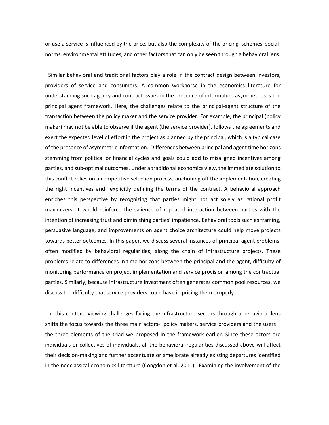or use a service is influenced by the price, but also the complexity of the pricing schemes, socialnorms, environmental attitudes, and other factors that can only be seen through a behavioral lens.

Similar behavioral and traditional factors play a role in the contract design between investors, providers of service and consumers. A common workhorse in the economics literature for understanding such agency and contract issues in the presence of information asymmetries is the principal agent framework. Here, the challenges relate to the principal-agent structure of the transaction between the policy maker and the service provider. For example, the principal (policy maker) may not be able to observe if the agent (the service provider), follows the agreements and exert the expected level of effort in the project as planned by the principal, which is a typical case of the presence of asymmetric information. Differences between principal and agent time horizons stemming from political or financial cycles and goals could add to misaligned incentives among parties, and sub-optimal outcomes. Under a traditional economics view, the immediate solution to this conflict relies on a competitive selection process, auctioning off the implementation, creating the right incentives and explicitly defining the terms of the contract. A behavioral approach enriches this perspective by recognizing that parties might not act solely as rational profit maximizers; it would reinforce the salience of repeated interaction between parties with the intention of increasing trust and diminishing parties' impatience. Behavioral tools such as framing, persuasive language, and improvements on agent choice architecture could help move projects towards better outcomes. In this paper, we discuss several instances of principal-agent problems, often modified by behavioral regularities, along the chain of infrastructure projects. These problems relate to differences in time horizons between the principal and the agent, difficulty of monitoring performance on project implementation and service provision among the contractual parties. Similarly, because infrastructure investment often generates common pool resources, we discuss the difficulty that service providers could have in pricing them properly.

In this context, viewing challenges facing the infrastructure sectors through a behavioral lens shifts the focus towards the three main actors- policy makers, service providers and the users – the three elements of the triad we proposed in the framework earlier. Since these actors are individuals or collectives of individuals, all the behavioral regularities discussed above will affect their decision-making and further accentuate or ameliorate already existing departures identified in the neoclassical economics literature (Congdon et al, 2011). Examining the involvement of the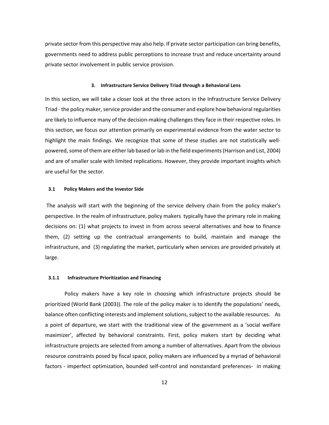private sector from this perspective may also help. If private sector participation can bring benefits, governments need to address public perceptions to increase trust and reduce uncertainty around private sector involvement in public service provision.

#### **3. Infrastructure Service Delivery Triad through a Behavioral Lens**

In this section, we will take a closer look at the three actors in the Infrastructure Service Delivery Triad - the policy maker, service provider and the consumer and explore how behavioral regularities are likely to influence many of the decision-making challenges they face in their respective roles. In this section, we focus our attention primarily on experimental evidence from the water sector to highlight the main findings. We recognize that some of these studies are not statistically wellpowered, some of them are either lab based or lab in the field experiments (Harrison and List, 2004) and are of smaller scale with limited replications. However, they provide important insights which are useful for the sector.

#### **3.1 Policy Makers and the Investor Side**

The analysis will start with the beginning of the service delivery chain from the policy maker's perspective. In the realm of infrastructure, policy makers typically have the primary role in making decisions on: (1) what projects to invest in from across several alternatives and how to finance them, (2) setting up the contractual arrangements to build, maintain and manage the infrastructure, and (3) regulating the market, particularly when services are provided privately at large.

#### **3.1.1 Infrastructure Prioritization and Financing**

Policy makers have a key role in choosing which infrastructure projects should be prioritized [\(World](#page-41-0) [Bank \(2003\)](#page-41-0)). The role of the policy maker is to identify the populations' needs, balance often conflicting interests and implement solutions, subject to the available resources. As a point of departure, we start with the traditional view of the government as a 'social welfare maximizer', affected by behavioral constraints. First, policy makers start by deciding what infrastructure projects are selected from among a number of alternatives. Apart from the obvious resource constraints posed by fiscal space, policy makers are influenced by a myriad of behavioral factors - imperfect optimization, bounded self-control and nonstandard preferences- in making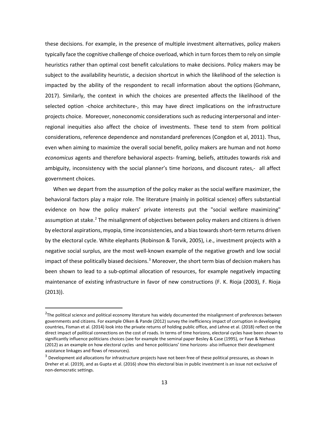these decisions. For example, in the presence of multiple investment alternatives, policy makers typically face the cognitive challenge of choice overload, which in turn forces them to rely on simple heuristics rather than optimal cost benefit calculations to make decisions. Policy makers may be subject to the availability heuristic, a decision shortcut in which the likelihood of the selection is impacted by the ability of the respondent to recall information about the options (Gohmann, 2017). Similarly, the context in which the choices are presented affects the likelihood of the selected option -choice architecture-, this may have direct implications on the infrastructure projects choice. Moreover, noneconomic considerations such as reducing interpersonal and interregional inequities also affect the choice of investments. These tend to stem from political considerations, reference dependence and nonstandard preferences (Congdon et al, 2011). Thus, even when aiming to maximize the overall social benefit, policy makers are human and not *homo economicus* agents and therefore behavioral aspects- framing, beliefs, attitudes towards risk and ambiguity, inconsistency with the social planner's time horizons, and discount rates,- all affect government choices.

When we depart from the assumption of the policy maker as the social welfare maximizer, the behavioral factors play a major role. The literature (mainly in political science) offers substantial evidence on how the policy makers' private interests put the "social welfare maximizing" assumption at stake.<sup>[2](#page-14-0)</sup> The misalignment of objectives between policy makers and citizens is driven by electoral aspirations, myopia, time inconsistencies, and a bias towards short-term returns driven by the electoral cycle. White elephants [\(Robinson & Torvik, 2005\)](#page-41-0), i.e., investment projects with a negative social surplus, are the most well-known example of the negative growth and low social impact of these politically biased decisions.<sup>[3](#page-14-1)</sup> Moreover, the short term bias of decision makers has been shown to lead to a sub-optimal allocation of resources, for example negatively impacting maintenance of existing infrastructure in favor of new constructions [\(F. K. Rioja \(2003\)](#page-41-0), [F. Rioja](#page-41-0)  [\(2013\)](#page-41-0)).

<span id="page-14-0"></span> $2$ The political science and political economy literature has widely documented the misalignment of preferences between governments and citizens. For example [Olken & Pande \(2012\)](#page-41-0) survey the inefficiency impact of corruption in developing countries[, Fisman et al.](#page-41-0) [\(2014\)](#page-41-0) look into the private returns of holding public office, and [Lehne et al.](#page-41-0) [\(2018\)](#page-41-0) reflect on the direct impact of political connections on the cost of roads. In terms of time horizons, electoral cycles have been shown to significantly influence politicians choices (see for example the seminal paper [Besley & Case](#page-41-0) [\(1995\)](#page-41-0), o[r Faye & Niehaus](#page-41-0) [\(2012\)](#page-41-0) as an example on how electoral cycles -and hence politicians' time horizons- also influence their development assistance linkages and flows of resources).

<span id="page-14-1"></span><sup>&</sup>lt;sup>3</sup> Development aid allocations for infrastructure projects have not been free of these political pressures, as shown in [Dreher et al. \(2019\)](#page-41-0), and a[s Gupta et al. \(2016\)](#page-41-0) show this electoral bias in public investment is an issue not exclusive of non-democratic settings.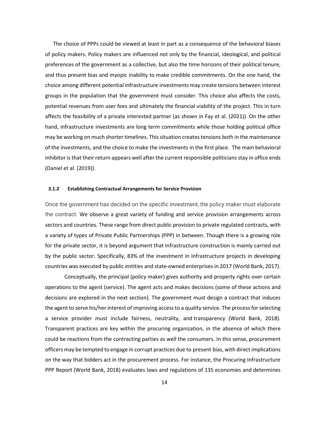The choice of PPPs could be viewed at least in part as a consequence of the behavioral biases of policy makers. Policy makers are influenced not only by the financial, ideological, and political preferences of the government as a collective, but also the time horizons of their political tenure, and thus present bias and myopic inability to make credible commitments. On the one hand, the choice among different potential infrastructure investments may create tensions between interest groups in the population that the government must consider. This choice also affects the costs, potential revenues from user fees and ultimately the financial viability of the project. This in turn affects the feasibility of a private interested partner (as shown in [Fay et al. \(2021\)](#page-41-0)). On the other hand, infrastructure investments are long term commitments while those holding political office may be working on much shorter timelines. This situation creates tensions both in the maintenance of the investments, and the choice to make the investments in the first place. The main behavioral inhibitor is that their return appears well after the current responsible politicians stay in office ends [\(Daniel et al.](#page-41-0) [\(2019\)](#page-41-0)).

#### **3.1.2 Establishing Contractual Arrangements for Service Provision**

Once the government has decided on the specific investment, the policy maker must elaborate the contract. We observe a great variety of funding and service provision arrangements across sectors and countries. These range from direct public provision to private regulated contracts, with a variety of types of Private Public Partnerships (PPP) in between. Though there is a growing role for the private sector, it is beyond argument that infrastructure construction is mainly carried out by the public sector. Specifically, 83% of the investment in infrastructure projects in developing countries was executed by public entities and state-owned enterprises in 2017 [\(World Bank, 2017\)](#page-41-0).

Conceptually, the principal (policy maker) gives authority and property rights over certain operations to the agent (service). The agent acts and makes decisions (some of these actions and decisions are explored in the next section). The government must design a contract that induces the agent to serve his/her interest of improving access to a quality service. The process for selecting a service provider must include fairness, neutrality, and transparency (World Bank, 2018). Transparent practices are key within the procuring organization, in the absence of which there could be reactions from the contracting parties as well the consumers. In this sense, procurement officers may be tempted to engage in corrupt practices due to present bias, with direct implications on the way that bidders act in the procurement process. For instance, the Procuring Infrastructure PPP Report (World Bank, 2018) evaluates laws and regulations of 135 economies and determines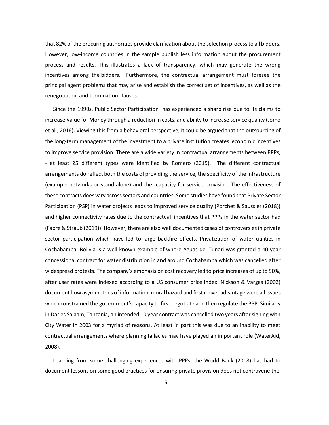that 82% of the procuring authorities provide clarification about the selection process to all bidders. However, low-income countries in the sample publish less information about the procurement process and results. This illustrates a lack of transparency, which may generate the wrong incentives among the bidders. Furthermore, the contractual arrangement must foresee the principal agent problems that may arise and establish the correct set of incentives, as well as the renegotiation and termination clauses.

Since the 1990s, Public Sector Participation has experienced a sharp rise due to its claims to increase Value for Money through a reduction in costs, and ability to increase service quality [\(Jomo](#page-41-0)  [et al., 2016\)](#page-41-0). Viewing this from a behavioral perspective, it could be argued that the outsourcing of the long-term management of the investment to a private institution creates economic incentives to improve service provision. There are a wide variety in contractual arrangements between PPPs, - at least 25 different types were identified by [Romero \(2015\)](#page-41-0). The different contractual arrangements do reflect both the costs of providing the service, the specificity of the infrastructure (example networks or stand-alone) and the capacity for service provision. The effectiveness of these contracts does vary across sectors and countries. Some studies have found that Private Sector Participation (PSP) in water projects leads to improved service quality [\(Porchet & Saussier \(2018\)](#page-41-0)) and higher connectivity rates due to the contractual incentives that PPPs in the water sector had [\(Fabre & Straub](#page-41-0) [\(2019\)](#page-41-0)). However, there are also well documented cases of controversies in private sector participation which have led to large backfire effects. Privatization of water utilities in Cochabamba, Bolivia is a well-known example of where Aguas del Tunari was granted a 40 year concessional contract for water distribution in and around Cochabamba which was cancelled after widespread protests. The company's emphasis on cost recovery led to price increases of up to 50%, after user rates were indexed according to a US consumer price index. Nickson & Vargas (2002) document how asymmetries of information, moral hazard and first mover advantage were all issues which constrained the government's capacity to first negotiate and then regulate the PPP. Similarly in Dar es Salaam, Tanzania, an intended 10 year contract was cancelled two years after signing with City Water in 2003 for a myriad of reasons. At least in part this was due to an inability to meet contractual arrangements where planning fallacies may have played an important role (WaterAid, 2008).

Learning from some challenging experiences with PPPs, the [World Bank](#page-41-0) [\(2018\)](#page-41-0) has had to document lessons on some good practices for ensuring private provision does not contravene the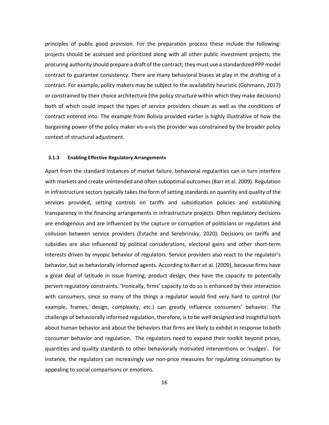principles of public good provision. For the preparation process these include the following: projects should be assessed and prioritized along with all other public investment projects; the procuring authority should prepare a draft of the contract; they must use a standardized PPP model contract to guarantee consistency. There are many behavioral biases at play in the drafting of a contract. For example, policy makers may be subject to the availability heuristic [\(Gohmann, 2017\)](#page-41-0) or constrained by their choice architecture (the policy structure within which they make decisions) both of which could impact the types of service providers chosen as well as the conditions of contract entered into. The example from Bolivia provided earlier is highly illustrative of how the bargaining power of the policy maker vis-a-vis the provider was constrained by the broader policy context of structural adjustment.

#### **3.1.3 Enabling Effective Regulatory Arrangements**

Apart from the standard instances of market failure, behavioral regularities can in turn interfere with markets and create unintended and often suboptimal outcomes (Barr et al. 2009). Regulation in infrastructure sectors typically takes the form of setting standards on quantity and quality of the services provided, setting controls on tariffs and subsidization policies and establishing transparency in the financing arrangements in infrastructure projects. Often regulatory decisions are endogenous and are influenced by the capture or corruption of politicians or regulators and collusion between service providers (Estache and Serebrinsky, 2020). Decisions on tariffs and subsidies are also influenced by political considerations, electoral gains and other short-term interests driven by myopic behavior of regulators. Service providers also react to the regulator's behavior, but as behaviorally informed agents. According to Barr et al. (2009), because firms have a great deal of latitude in issue framing, product design, they have the capacity to potentially pervert regulatory constraints. 'Ironically, firms' capacity to do so is enhanced by their interaction with consumers, since so many of the things a regulator would find very hard to control (for example, frames, design, complexity, etc.) can greatly influence consumers' behavior. The challenge of behaviorally informed regulation, therefore, is to be well designed and insightful both about human behavior and about the behaviors that firms are likely to exhibit in response to both consumer behavior and regulation. The regulators need to expand their toolkit beyond prices, quantities and quality standards to other behaviorally motivated interventions or 'nudges'. For instance, the regulators can increasingly use non-price measures for regulating consumption by appealing to social comparisons or emotions.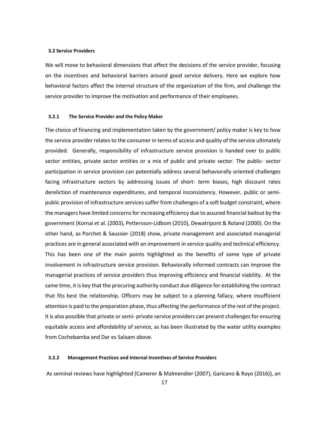#### **3.2 Service Providers**

We will move to behavioral dimensions that affect the decisions of the service provider, focusing on the incentives and behavioral barriers around good service delivery. Here we explore how behavioral factors affect the internal structure of the organization of the firm, and challenge the service provider to improve the motivation and performance of their employees.

#### **3.2.1 The Service Provider and the Policy Maker**

The choice of financing and implementation taken by the government/ policy maker is key to how the service provider relates to the consumer in terms of access and quality of the service ultimately provided. Generally, responsibility of infrastructure service provision is handed over to public sector entities, private sector entities or a mix of public and private sector. The public- sector participation in service provision can potentially address several behaviorally oriented challenges facing infrastructure sectors by addressing issues of short- term biases, high discount rates dereliction of maintenance expenditures, and temporal inconsistency. However, public or semipublic provision of infrastructure services suffer from challenges of a soft budget constraint, where the managers have limited concerns for increasing efficiency due to assured financial bailout by the government (Kornai et al. (2003), Pettersson-Lidbom (2010), Dewatripont & Roland (2000). On the other hand, as Porchet & Saussier (2018) show, private management and associated managerial practices are in general associated with an improvement in service quality and technical efficiency. This has been one of the main points highlighted as the benefits of some type of private involvement in infrastructure service provision. Behaviorally informed contracts can improve the managerial practices of service providers thus improving efficiency and financial viability. At the same time, it is key that the procuring authority conduct due diligence for establishing the contract that fits best the relationship. Officers may be subject to a planning fallacy, where insufficient attention is paid to the preparation phase, thus affecting the performance of the rest of the project. It is also possible that private or semi- private service providers can present challenges for ensuring equitable access and affordability of service, as has been illustrated by the water utility examples from Cochebamba and Dar es Salaam above.

#### **3.2.2 Management Practices and Internal Incentives of Service Providers**

As seminal reviews have highlighted [\(Camerer & Malmendier \(2007\), Garicano & Rayo \(2016\)](#page-41-0)), an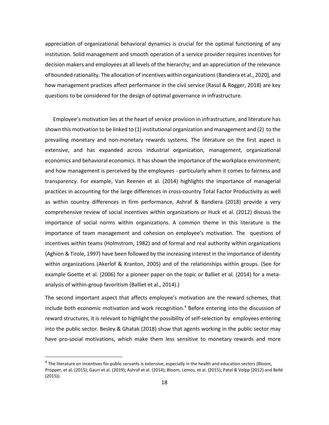appreciation of organizational behavioral dynamics is crucial for the optimal functioning of any institution. Solid management and smooth operation of a service provider requires incentives for decision makers and employees at all levels of the hierarchy; and an appreciation of the relevance of bounded rationality. The allocation of incentives within organizations [\(Bandiera et al., 2020\)](#page-41-0), and how management practices affect performance in the civil service [\(Rasul & Rogger, 2018\)](#page-41-0) are key questions to be considered for the design of optimal governance in infrastructure.

Employee's motivation lies at the heart of service provision in infrastructure, and literature has shown this motivation to be linked to (1) institutional organization and management and (2) to the prevailing monetary and non-monetary rewards systems. The literature on the first aspect is extensive, and has expanded across industrial organization, management, organizational economics and behavioral economics. It has shown the importance of the workplace environment; and how management is perceived by the employees - particularly when it comes to fairness and transparency. For example, [Van Reenen et](#page-41-0) [al.](#page-41-0) [\(2014\)](#page-41-0) highlights the importance of managerial practices in accounting for the large differences in cross-country Total Factor Productivity as well as within country differences in firm performance, [Ashraf &](#page-41-0) [Bandiera](#page-41-0) [\(2018\)](#page-41-0) provide a very comprehensive review of social incentives within organizations or [Huck](#page-41-0) [et al.](#page-41-0) [\(2012\)](#page-41-0) discuss the importance of social norms within organizations. A common theme in this literature is the importance of team management and cohesion on employee's motivation. The questions of incentives within teams [\(Holmstrom, 1982\)](#page-41-0) and of formal and real authority within organizations [\(Aghion & Tirole, 1997\)](#page-40-0) have been followed by the increasing interest in the importance of identity within organizations [\(Akerlof & Kranton, 2005\)](#page-40-0) and of the relationships within groups. (See for example [Goette et al. \(2006\)](#page-41-0) for a pioneer paper on the topic or [Balliet et al. \(2014\)](#page-41-0) for a metaanalysis of within-group favoritism [\(Balliet et al., 2014\)](#page-41-0).)

The second important aspect that affects employee's motivation are the reward schemes, that include both economic motivation and work recognition.<sup>[4](#page-19-0)</sup> Before entering into the discussion of reward structures, it is relevant to highlight the possibility of self-selection by employees entering into the public sector. [Besley & Ghatak \(2018\)](#page-41-0) show that agents working in the public sector may have pro-social motivations, which make them less sensitive to monetary rewards and more

<span id="page-19-0"></span> $4$  The literature on incentives for public servants is extensive, especially in the health and education sectors (Bloom, [Propper, et al. \(2015\); Gauri et al. \(2019\); Ashraf et al. \(2014\); Bloom, Lemos,](#page-41-0) [et al.](#page-41-0) [\(2015\); Patel & Volpp](#page-41-0) [\(2012\)](#page-41-0) an[d Bellé](#page-41-0) [\(2015\)](#page-41-0)).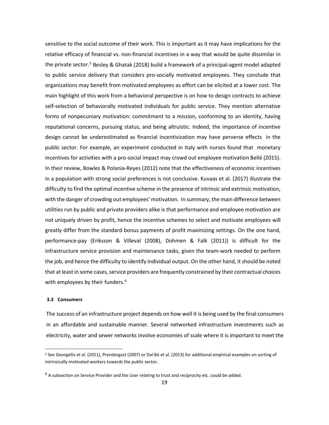sensitive to the social outcome of their work. This is important as it may have implications for the relative efficacy of financial vs. non-financial incentives in a way that would be quite dissimilar in the private sector.<sup>[5](#page-20-0)</sup> [Besley & Ghatak \(2018\)](#page-41-0) build a framework of a principal-agent model adapted to public service delivery that considers pro-socially motivated employees. They conclude that organizations may benefit from motivated employees as effort can be elicited at a lower cost. The main highlight of this work from a behavioral perspective is on how to design contracts to achieve self-selection of behaviorally motivated individuals for public service. They mention alternative forms of nonpecuniary motivation: commitment to a mission, conforming to an identity, having reputational concerns, pursuing status, and being altruistic. Indeed, the importance of incentive design cannot be underestimated as financial incentivization may have perverse effects in the public sector. For example, an experiment conducted in Italy with nurses found that monetary incentives for activities with a pro-social impact may crowd out employee motivation [Bellé \(2015\)](#page-41-0). In their review[, Bowles](#page-41-0) [& Polania-Reyes](#page-41-0) [\(2012\)](#page-41-0) note that the effectiveness of economic incentives in a population with strong social preferences is not conclusive. [Kuvaas et al. \(2017\)](#page-41-0) illustrate the difficulty to find the optimal incentive scheme in the presence of intrinsic and extrinsic motivation, with the danger of crowding out employees' motivation. In summary, the main difference between utilities run by public and private providers alike is that performance and employee motivation are not uniquely driven by profit, hence the incentive schemes to select and motivate employees will greatly differ from the standard bonus payments of profit maximizing settings. On the one hand, performance-pay [\(Eriksson & Villeval](#page-41-0) [\(2008\)](#page-41-0), [Dohmen & Falk \(2011\)](#page-41-0)) is difficult for the infrastructure service provision and maintenance tasks, given the team-work needed to perform the job, and hence the difficulty to identify individual output. On the other hand, it should be noted that at least in some cases, service providers are frequently constrained by their contractual choices with employees by their funders.<sup>[6](#page-20-1)</sup>

#### **3.3 Consumers**

The success of an infrastructure project depends on how well it is being used by the final consumers in an affordable and sustainable manner. Several networked infrastructure investments such as electricity, water and sewer networks involve economies of scale where it is important to meet the

<span id="page-20-0"></span><sup>5</sup> Se[e Georgellis et al.](#page-41-0) [\(2011\)](#page-41-0), [Prendergast](#page-41-0) [\(2007\)](#page-41-0) o[r Dal Bó et al.](#page-41-0) [\(2013\)](#page-41-0) for additional empirical examples on sorting of intrinsically motivated workers towards the public sector.

<span id="page-20-1"></span><sup>&</sup>lt;sup>6</sup> A subsection on Service Provider and the User relating to trust and reciprocity etc. could be added.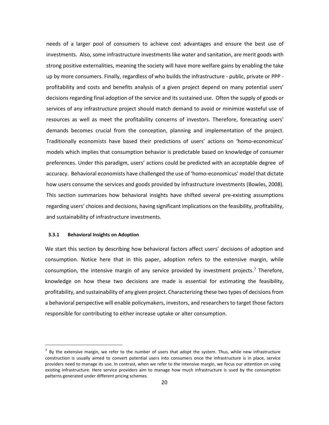needs of a larger pool of consumers to achieve cost advantages and ensure the best use of investments. Also, some infrastructure investments like water and sanitation, are merit goods with strong positive externalities, meaning the society will have more welfare gains by enabling the take up by more consumers. Finally, regardless of who builds the infrastructure - public, private or PPP profitability and costs and benefits analysis of a given project depend on many potential users' decisions regarding final adoption of the service and its sustained use. Often the supply of goods or services of any infrastructure project should match demand to avoid or minimize wasteful use of resources as well as meet the profitability concerns of investors. Therefore, forecasting users' demands becomes crucial from the conception, planning and implementation of the project. Traditionally economists have based their predictions of users' actions on 'homo-economicus' models which implies that consumption behavior is predictable based on knowledge of consumer preferences. Under this paradigm, users' actions could be predicted with an acceptable degree of accuracy. Behavioral economists have challenged the use of 'homo-economicus' model that dictate how users consume the services and goods provided by infrastructure investments [\(Bowles, 2008\)](#page-41-0). This section summarizes how behavioral insights have shifted several pre-existing assumptions regarding users' choices and decisions, having significant implications on the feasibility, profitability, and sustainability of infrastructure investments.

#### **3.3.1 Behavioral Insights on Adoption**

We start this section by describing how behavioral factors affect users' decisions of adoption and consumption. Notice here that in this paper, adoption refers to the extensive margin, while consumption, the intensive margin of any service provided by investment projects. [7](#page-21-0) Therefore, knowledge on how these two decisions are made is essential for estimating the feasibility, profitability, and sustainability of any given project. Characterizing these two types of decisions from a behavioral perspective will enable policymakers, investors, and researchers to target those factors responsible for contributing to either increase uptake or alter consumption.

<span id="page-21-0"></span> $<sup>7</sup>$  By the extensive margin, we refer to the number of users that adopt the system. Thus, while new infrastructure</sup> construction is usually aimed to convert potential users into consumers once the infrastructure is in place, service providers need to manage its use. In contrast, when we refer to the intensive margin, we focus our attention on using existing infrastructure. Here service providers aim to manage how much infrastructure is used by the consumption patterns generated under different pricing schemes.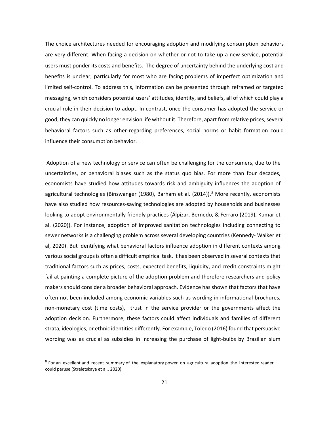The choice architectures needed for encouraging adoption and modifying consumption behaviors are very different. When facing a decision on whether or not to take up a new service, potential users must ponder its costs and benefits. The degree of uncertainty behind the underlying cost and benefits is unclear, particularly for most who are facing problems of imperfect optimization and limited self-control. To address this, information can be presented through reframed or targeted messaging, which considers potential users' attitudes, identity, and beliefs, all of which could play a crucial role in their decision to adopt. In contrast, once the consumer has adopted the service or good, they can quickly no longer envision life without it. Therefore, apart from relative prices, several behavioral factors such as other-regarding preferences, social norms or habit formation could influence their consumption behavior.

Adoption of a new technology or service can often be challenging for the consumers, due to the uncertainties, or behavioral biases such as the status quo bias. For more than four decades, economists have studied how attitudes towards risk and ambiguity influences the adoption of agricultural technologies [\(Binswanger](#page-41-0) [\(1980\)](#page-41-0), [Barham et al.](#page-41-0) [\(2014\)](#page-41-0)).<sup>[8](#page-22-0)</sup> More recently, economists have also studied how resources-saving technologies are adopted by households and businesses looking to adopt environmentally friendly practices [\(Álpizar, Bernedo, & Ferraro](#page-41-0) [\(2019\)](#page-41-0), [Kumar et](#page-41-0)  [al. \(2020\)](#page-41-0)). For instance, adoption of improved sanitation technologies including connecting to sewer networks is a challenging problem across several developing countries (Kennedy- Walker et al, 2020). But identifying what behavioral factors influence adoption in different contexts among various social groups is often a difficult empirical task. It has been observed in several contexts that traditional factors such as prices, costs, expected benefits, liquidity, and credit constraints might fail at painting a complete picture of the adoption problem and therefore researchers and policy makers should consider a broader behavioral approach. Evidence has shown that factors that have often not been included among economic variables such as wording in informational brochures, non-monetary cost (time costs), trust in the service provider or the governments affect the adoption decision. Furthermore, these factors could affect individuals and families of different strata, ideologies, or ethnic identities differently. For example[, Toledo \(2016\)](#page-41-0) found that persuasive wording was as crucial as subsidies in increasing the purchase of light-bulbs by Brazilian slum

<span id="page-22-0"></span><sup>&</sup>lt;sup>8</sup> For an excellent and recent summary of the explanatory power on agricultural adoption the interested reader could peruse [\(Streletskaya et al., 2020\)](#page-41-0).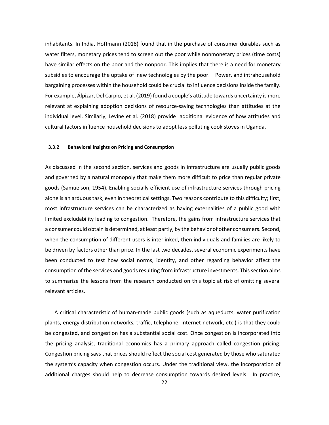inhabitants. In India, [Hoffmann \(2018\)](#page-41-0) found that in the purchase of consumer durables such as water filters, monetary prices tend to screen out the poor while nonmonetary prices (time costs) have similar effects on the poor and the nonpoor. This implies that there is a need for monetary subsidies to encourage the uptake of new technologies by the poor. Power, and intrahousehold bargaining processes within the household could be crucial to influence decisions inside the family. For example[, Álpizar, Del Carpio, et al.](#page-41-0) [\(2019\)](#page-41-0) found a couple's attitude towards uncertainty is more relevant at explaining adoption decisions of resource-saving technologies than attitudes at the individual level. Similarly, [Levine et al. \(2018\)](#page-41-0) provide additional evidence of how attitudes and cultural factors influence household decisions to adopt less polluting cook stoves in Uganda.

#### **3.3.2 Behavioral Insights on Pricing and Consumption**

As discussed in the second section, services and goods in infrastructure are usually public goods and governed by a natural monopoly that make them more difficult to price than regular private goods [\(Samuelson, 1954\)](#page-41-0). Enabling socially efficient use of infrastructure services through pricing alone is an arduous task, even in theoretical settings. Two reasons contribute to this difficulty; first, most infrastructure services can be characterized as having externalities of a public good with limited excludability leading to congestion. Therefore, the gains from infrastructure services that a consumer could obtain is determined, at least partly, by the behavior of other consumers. Second, when the consumption of different users is interlinked, then individuals and families are likely to be driven by factors other than price. In the last two decades, several economic experiments have been conducted to test how social norms, identity, and other regarding behavior affect the consumption of the services and goods resulting from infrastructure investments. This section aims to summarize the lessons from the research conducted on this topic at risk of omitting several relevant articles.

A critical characteristic of human-made public goods (such as aqueducts, water purification plants, energy distribution networks, traffic, telephone, internet network, etc.) is that they could be congested, and congestion has a substantial social cost. Once congestion is incorporated into the pricing analysis, traditional economics has a primary approach called congestion pricing. Congestion pricing says that prices should reflect the social cost generated by those who saturated the system's capacity when congestion occurs. Under the traditional view, the incorporation of additional charges should help to decrease consumption towards desired levels. In practice,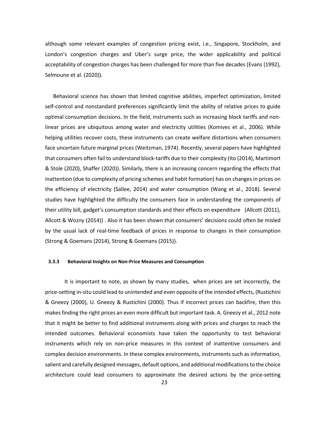although some relevant examples of congestion pricing exist, i.e., Singapore, Stockholm, and London's congestion charges and Uber's surge price, the wider applicability and political acceptability of congestion charges has been challenged for more than five decades [\(Evans](#page-41-0) [\(1992\)](#page-41-0), [Selmoune et](#page-41-0) [al.](#page-41-0) [\(2020\)](#page-41-0)).

Behavioral science has shown that limited cognitive abilities, imperfect optimization, limited self-control and nonstandard preferences significantly limit the ability of relative prices to guide optimal consumption decisions. In the field, instruments such as increasing block tariffs and nonlinear prices are ubiquitous among water and electricity utilities [\(Komives et al., 2006\)](#page-41-0). While helping utilities recover costs, these instruments can create welfare distortions when consumers face uncertain future marginal prices [\(Weitzman, 1974\)](#page-41-0). Recently, several papers have highlighted that consumers often fail to understand block-tariffs due to their complexity [\(Ito](#page-41-0) [\(2014\), Martimort](#page-41-0)  [& Stole](#page-41-0) [\(2020\)](#page-41-0), [Shaffer \(2020\)](#page-41-0)). Similarly, there is an increasing concern regarding the effects that inattention (due to complexity of pricing schemes and habit formation) has on changes in prices on the efficiency of electricity [\(Sallee, 2014\)](#page-41-0) and water consumption [\(Wang et al., 2018\)](#page-41-0). Several studies have highlighted the difficulty the consumers face in understanding the components of their utility bill, gadget's consumption standards and their effects on expenditure [\(Allcott](#page-40-0) [\(2011\)](#page-40-0), [Allcott & Wozny](#page-41-0) [\(2014\)](#page-41-0)) . Also it has been shown that consumers' decisions could often be misled by the usual lack of real-time feedback of prices in response to changes in their consumption [\(Strong & Goemans](#page-41-0) [\(2014\)](#page-41-0), [Strong &](#page-41-0) [Goemans \(2015\)](#page-41-0)).

#### **3.3.3 Behavioral Insights on Non-Price Measures and Consumption**

It is important to note, as shown by many studies, when prices are set incorrectly, the price-setting in-situ could lead to unintended and even opposite of the intended effects, [\(Rustichini](#page-41-0)  [& Gneezy \(2000\)](#page-41-0), [U. Gneezy &](#page-41-0) [Rustichini \(2000\)](#page-41-0). Thus if incorrect prices can backfire, then this makes finding the right prices an even more difficult but important task. [A. Gneezy et al., 2012](#page-41-0) note that it might be better to find additional instruments along with prices and charges to reach the intended outcomes. Behavioral economists have taken the opportunity to test behavioral instruments which rely on non-price measures in this context of inattentive consumers and complex decision environments. In these complex environments, instruments such as information, salient and carefully designed messages, default options, and additional modifications to the choice architecture could lead consumers to approximate the desired actions by the price-setting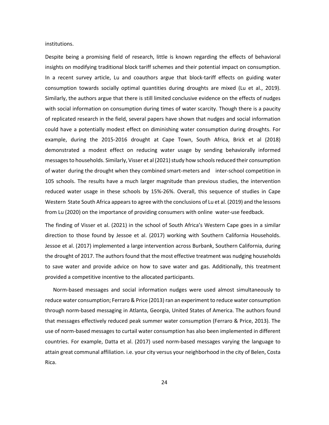institutions.

Despite being a promising field of research, little is known regarding the effects of behavioral insights on modifying traditional block tariff schemes and their potential impact on consumption. In a recent survey article, Lu and coauthors argue that block-tariff effects on guiding water consumption towards socially optimal quantities during droughts are mixed [\(Lu et al.,](#page-41-0) [2019\)](#page-41-0). Similarly, the authors argue that there is still limited conclusive evidence on the effects of nudges with social information on consumption during times of water scarcity. Though there is a paucity of replicated research in the field, several papers have shown that nudges and social information could have a potentially modest effect on diminishing water consumption during droughts. For example, during the 2015-2016 drought at Cape Town, South Africa, Brick et al (2018) demonstrated a modest effect on reducing water usage by sending behaviorally informed messages to households. Similarly, Visser et al (2021) study how schools reduced their consumption of water during the drought when they combined smart-meters and inter-school competition in 105 schools. The results have a much larger magnitude than previous studies, the intervention reduced water usage in these schools by 15%-26%. Overall, this sequence of studies in Cape Western State South Africa appears to agree with the conclusions o[f Lu et al.](#page-41-0) [\(2019\)](#page-41-0) and the lessons from Lu (2020) on the importance of providing consumers with online water-use feedback.

The finding of [Visser et al. \(2021\)](#page-41-0) in the school of South Africa's Western Cape goes in a similar direction to those found by [Jessoe et al. \(2017\)](#page-41-0) working with Southern California Households. [Jessoe et al. \(2017\)](#page-41-0) implemented a large intervention across Burbank, Southern California, during the drought of 2017. The authors found that the most effective treatment was nudging households to save water and provide advice on how to save water and gas. Additionally, this treatment provided a competitive incentive to the allocated participants.

Norm-based messages and social information nudges were used almost simultaneously to reduce water consumption[; Ferraro & Price \(2013\)](#page-41-0) ran an experiment to reduce water consumption through norm-based messaging in Atlanta, Georgia, United States of America. The authors found that messages effectively reduced peak summer water consumption [\(Ferraro & Price, 2013\)](#page-41-0). The use of norm-based messages to curtail water consumption has also been implemented in different countries. For example, [Datta et al.](#page-41-0) [\(2017\)](#page-41-0) used norm-based messages varying the language to attain great communal affiliation. i.e. your city versus your neighborhood in the city of Belen, Costa Rica.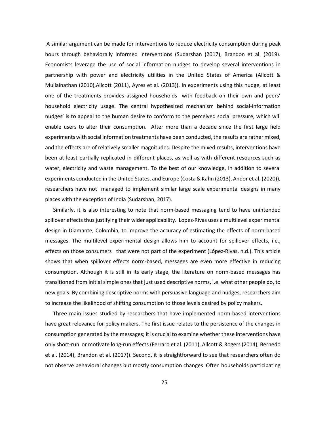A similar argument can be made for interventions to reduce electricity consumption during peak hours through behaviorally informed interventions [\(Sudarshan \(2017\)](#page-41-0), [Brandon et al. \(2019\)](#page-41-0). Economists leverage the use of social information nudges to develop several interventions in partnership with power and electricity utilities in the United States of America [\(Allcott &](#page-40-0)  [Mullainathan \(2010\),Allcott \(2011\)](#page-40-0), [Ayres et al. \(2013\)](#page-41-0)). In experiments using this nudge, at least one of the treatments provides assigned households with feedback on their own and peers' household electricity usage. The central hypothesized mechanism behind social-information nudges' is to appeal to the human desire to conform to the perceived social pressure, which will enable users to alter their consumption. After more than a decade since the first large field experiments with social information treatments have been conducted, the results are rather mixed, and the effects are of relatively smaller magnitudes. Despite the mixed results, interventions have been at least partially replicated in different places, as well as with different resources such as water, electricity and waste management. To the best of our knowledge, in addition to several experiments conducted in the United States, and Europe [\(Costa & Kahn \(2013\), Andor](#page-41-0) [et al. \(2020\)](#page-41-0)), researchers have not managed to implement similar large scale experimental designs in many places with the exception of India [\(Sudarshan, 2017\)](#page-41-0).

Similarly, it is also interesting to note that norm-based messaging tend to have unintended spillover effects thus justifying their wider applicability. Lopez-Rivas uses a multilevel experimental design in Diamante, Colombia, to improve the accuracy of estimating the effects of norm-based messages. The multilevel experimental design allows him to account for spillover effects, i.e., effects on those consumers that were not part of the experiment [\(López-Rivas, n.d.\)](#page-41-0). This article shows that when spillover effects norm-based, messages are even more effective in reducing consumption. Although it is still in its early stage, the literature on norm-based messages has transitioned from initial simple ones that just used descriptive norms, i.e. what other people do, to new goals. By combining descriptive norms with persuasive language and nudges, researchers aim to increase the likelihood of shifting consumption to those levels desired by policy makers.

Three main issues studied by researchers that have implemented norm-based interventions have great relevance for policy makers. The first issue relates to the persistence of the changes in consumption generated by the messages; it is crucial to examine whether these interventions have only short-run or motivate long-run effects [\(Ferraro et al. \(2011\)](#page-41-0), [Allcott & Rogers \(2014\)](#page-40-0), [Bernedo](#page-41-0)  [et al. \(2014\)](#page-41-0), [Brandon et al.](#page-41-0) [\(2017\)](#page-41-0)). Second, it is straightforward to see that researchers often do not observe behavioral changes but mostly consumption changes. Often households participating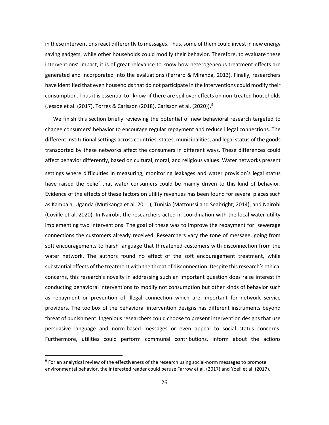in these interventions react differently to messages. Thus, some of them could invest in new energy saving gadgets, while other households could modify their behavior. Therefore, to evaluate these interventions' impact, it is of great relevance to know how heterogeneous treatment effects are generated and incorporated into the evaluations [\(Ferraro & Miranda, 2013\)](#page-41-0). Finally, researchers have identified that even households that do not participate in the interventions could modify their consumption. Thus it is essential to know if there are spillover effects on non-treated households [\(Jessoe et al. \(2017\), Torres & Carlsson](#page-41-0) [\(2018\)](#page-41-0), [Carlsson et al. \(2020\)](#page-41-0)). [9](#page-27-0)

We finish this section briefly reviewing the potential of new behavioral research targeted to change consumers' behavior to encourage regular repayment and reduce illegal connections. The different institutional settings across countries, states, municipalities, and legal status of the goods transported by these networks affect the consumers in different ways. These differences could affect behavior differently, based on cultural, moral, and religious values. Water networks present settings where difficulties in measuring, monitoring leakages and water provision's legal status have raised the belief that water consumers could be mainly driven to this kind of behavior. Evidence of the effects of these factors on utility revenues has been found for several places such as Kampala, Uganda (Mutikanga et al. 2011), Tunisia (Mattoussi and Seabright, 2014), and Nairobi (Coville et al. 2020). In Nairobi, the researchers acted in coordination with the local water utility implementing two interventions. The goal of these was to improve the repayment for sewerage connections the customers already received. Researchers vary the tone of message, going from soft encouragements to harsh language that threatened customers with disconnection from the water network. The authors found no effect of the soft encouragement treatment, while substantial effects of the treatment with the threat of disconnection. Despite this research's ethical concerns, this research's novelty in addressing such an important question does raise interest in conducting behavioral interventions to modify not consumption but other kinds of behavior such as repayment or prevention of illegal connection which are important for network service providers. The toolbox of the behavioral intervention designs has different instruments beyond threat of punishment. Ingenious researchers could choose to present intervention designs that use persuasive language and norm-based messages or even appeal to social status concerns. Furthermore, utilities could perform communal contributions, inform about the actions

<span id="page-27-0"></span> $9$  For an analytical review of the effectiveness of the research using social-norm messages to promote environmental behavior, the interested reader could perus[e Farrow et al. \(2017\)](#page-41-0) and [Yoeli et al. \(2017\)](#page-41-0).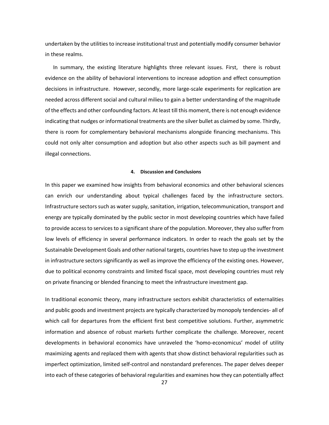undertaken by the utilities to increase institutional trust and potentially modify consumer behavior in these realms.

In summary, the existing literature highlights three relevant issues. First, there is robust evidence on the ability of behavioral interventions to increase adoption and effect consumption decisions in infrastructure. However, secondly, more large-scale experiments for replication are needed across different social and cultural milieu to gain a better understanding of the magnitude of the effects and other confounding factors. At least till this moment, there is not enough evidence indicating that nudges or informational treatments are the silver bullet as claimed by some. Thirdly, there is room for complementary behavioral mechanisms alongside financing mechanisms. This could not only alter consumption and adoption but also other aspects such as bill payment and illegal connections.

#### **4. Discussion and Conclusions**

In this paper we examined how insights from behavioral economics and other behavioral sciences can enrich our understanding about typical challenges faced by the infrastructure sectors. Infrastructure sectors such as water supply, sanitation, irrigation, telecommunication, transport and energy are typically dominated by the public sector in most developing countries which have failed to provide access to services to a significant share of the population. Moreover, they also suffer from low levels of efficiency in several performance indicators. In order to reach the goals set by the Sustainable Development Goals and other national targets, countries have to step up the investment in infrastructure sectors significantly as well as improve the efficiency of the existing ones. However, due to political economy constraints and limited fiscal space, most developing countries must rely on private financing or blended financing to meet the infrastructure investment gap.

In traditional economic theory, many infrastructure sectors exhibit characteristics of externalities and public goods and investment projects are typically characterized by monopoly tendencies- all of which call for departures from the efficient first best competitive solutions. Further, asymmetric information and absence of robust markets further complicate the challenge. Moreover, recent developments in behavioral economics have unraveled the 'homo-economicus' model of utility maximizing agents and replaced them with agents that show distinct behavioral regularities such as imperfect optimization, limited self-control and nonstandard preferences. The paper delves deeper into each of these categories of behavioral regularities and examines how they can potentially affect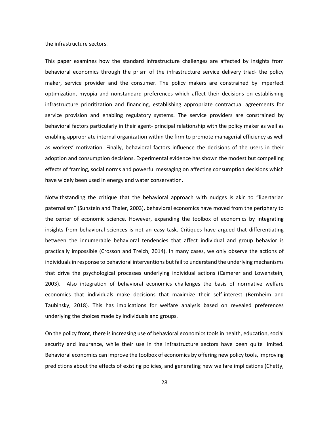the infrastructure sectors.

This paper examines how the standard infrastructure challenges are affected by insights from behavioral economics through the prism of the infrastructure service delivery triad- the policy maker, service provider and the consumer. The policy makers are constrained by imperfect optimization, myopia and nonstandard preferences which affect their decisions on establishing infrastructure prioritization and financing, establishing appropriate contractual agreements for service provision and enabling regulatory systems. The service providers are constrained by behavioral factors particularly in their agent- principal relationship with the policy maker as well as enabling appropriate internal organization within the firm to promote managerial efficiency as well as workers' motivation. Finally, behavioral factors influence the decisions of the users in their adoption and consumption decisions. Experimental evidence has shown the modest but compelling effects of framing, social norms and powerful messaging on affecting consumption decisions which have widely been used in energy and water conservation.

Notwithstanding the critique that the behavioral approach with nudges is akin to "libertarian paternalism" (Sunstein and Thaler, 2003), behavioral economics have moved from the periphery to the center of economic science. However, expanding the toolbox of economics by integrating insights from behavioral sciences is not an easy task. Critiques have argued that differentiating between the innumerable behavioral tendencies that affect individual and group behavior is practically impossible (Crosson and Treich, 2014). In many cases, we only observe the actions of individuals in response to behavioral interventions but fail to understand the underlying mechanisms that drive the psychological processes underlying individual actions (Camerer and Lowenstein, 2003). Also integration of behavioral economics challenges the basis of normative welfare economics that individuals make decisions that maximize their self-interest (Bernheim and Taubinsky, 2018). This has implications for welfare analysis based on revealed preferences underlying the choices made by individuals and groups.

On the policy front, there is increasing use of behavioral economics tools in health, education, social security and insurance, while their use in the infrastructure sectors have been quite limited. Behavioral economics can improve the toolbox of economics by offering new policy tools, improving predictions about the effects of existing policies, and generating new welfare implications (Chetty,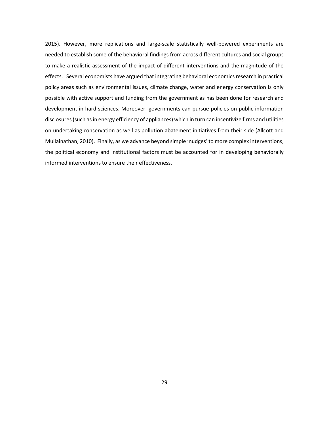2015). However, more replications and large-scale statistically well-powered experiments are needed to establish some of the behavioral findings from across different cultures and social groups to make a realistic assessment of the impact of different interventions and the magnitude of the effects. Several economists have argued that integrating behavioral economics research in practical policy areas such as environmental issues, climate change, water and energy conservation is only possible with active support and funding from the government as has been done for research and development in hard sciences. Moreover, governments can pursue policies on public information disclosures (such as in energy efficiency of appliances) which in turn can incentivize firms and utilities on undertaking conservation as well as pollution abatement initiatives from their side (Allcott and Mullainathan, 2010). Finally, as we advance beyond simple 'nudges' to more complex interventions, the political economy and institutional factors must be accounted for in developing behaviorally informed interventions to ensure their effectiveness.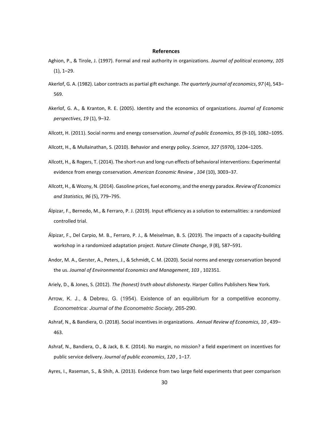#### **References**

- Aghion, P., & Tirole, J. (1997). Formal and real authority in organizations. *Journal of political economy*, *105*  (1), 1–29.
- Akerlof, G. A. (1982). Labor contracts as partial gift exchange. *The quarterly journal of economics*, *97* (4), 543– 569.
- Akerlof, G. A., & Kranton, R. E. (2005). Identity and the economics of organizations. *Journal of Economic perspectives*, *19* (1), 9–32.
- Allcott, H. (2011). Social norms and energy conservation. *Journal of public Economics*, *95* (9-10), 1082–1095.
- Allcott, H., & Mullainathan, S. (2010). Behavior and energy policy. *Science*, *327* (5970), 1204–1205.
- Allcott, H., & Rogers, T. (2014). The short-run and long-run effects of behavioral interventions: Experimental evidence from energy conservation. *American Economic Review* , *104* (10), 3003–37.
- Allcott, H., & Wozny, N. (2014). Gasoline prices, fuel economy, and the energy paradox. *Review of Economics and Statistics*, *96* (5), 779–795.
- Álpizar, F., Bernedo, M., & Ferraro, P. J. (2019). Input efficiency as a solution to externalities: a randomized controlled trial.
- Álpizar, F., Del Carpio, M. B., Ferraro, P. J., & Meiselman, B. S. (2019). The impacts of a capacity-building workshop in a randomized adaptation project. *Nature Climate Change*, *9* (8), 587–591.
- Andor, M. A., Gerster, A., Peters, J., & Schmidt, C. M. (2020). Social norms and energy conservation beyond the us. *Journal of Environmental Economics and Management*, *103* , 102351.
- Ariely, D., & Jones, S. (2012). *The (honest) truth about dishonesty*. Harper Collins Publishers New York.
- Arrow, K. J., & Debreu, G. (1954). Existence of an equilibrium for a competitive economy. *Econometrica: Journal of the Econometric Society*, 265-290.
- Ashraf, N., & Bandiera, O. (2018). Social incentives in organizations. *Annual Review of Economics*, *10* , 439– 463.
- Ashraf, N., Bandiera, O., & Jack, B. K. (2014). No margin, no mission? a field experiment on incentives for public service delivery. *Journal of public economics*, *120* , 1–17.
- Ayres, I., Raseman, S., & Shih, A. (2013). Evidence from two large field experiments that peer comparison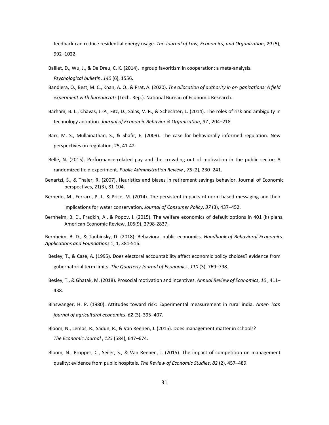feedback can reduce residential energy usage. *The Journal of Law, Economics, and Organization*, *29* (5), 992–1022.

- Balliet, D., Wu, J., & De Dreu, C. K. (2014). Ingroup favoritism in cooperation: a meta-analysis. *Psychological bulletin*, *140* (6), 1556.
- Bandiera, O., Best, M. C., Khan, A. Q., & Prat, A. (2020). *The allocation of authority in or- ganizations: A field experiment with bureaucrats* (Tech. Rep.). National Bureau of Economic Research.
- Barham, B. L., Chavas, J.-P., Fitz, D., Salas, V. R., & Schechter, L. (2014). The roles of risk and ambiguity in technology adoption. *Journal of Economic Behavior & Organization*, *97* , 204–218.
- Barr, M. S., Mullainathan, S., & Shafir, E. (2009). The case for behaviorally informed regulation. New perspectives on regulation, 25, 41-42.
- Bellé, N. (2015). Performance-related pay and the crowding out of motivation in the public sector: A randomized field experiment. *Public Administration Review* , *75* (2), 230–241.
- Benartzi, S., & Thaler, R. (2007). Heuristics and biases in retirement savings behavior. Journal of Economic perspectives, 21(3), 81-104.
- Bernedo, M., Ferraro, P. J., & Price, M. (2014). The persistent impacts of norm-based messaging and their implications for water conservation. *Journal of Consumer Policy*, *37* (3), 437–452.
- Bernheim, B. D., Fradkin, A., & Popov, I. (2015). The welfare economics of default options in 401 (k) plans. American Economic Review, 105(9), 2798-2837.

Bernheim, B. D., & Taubinsky, D. (2018). Behavioral public economics. *Handbook of Behavioral Economics: Applications and Foundations* 1, 1, 381-516.

- Besley, T., & Case, A. (1995). Does electoral accountability affect economic policy choices? evidence from gubernatorial term limits. *The Quarterly Journal of Economics*, *110* (3), 769–798.
- Besley, T., & Ghatak, M. (2018). Prosocial motivation and incentives. *Annual Review of Economics*, *10* , 411– 438.
- Binswanger, H. P. (1980). Attitudes toward risk: Experimental measurement in rural india. *Amer- ican journal of agricultural economics*, *62* (3), 395–407.
- Bloom, N., Lemos, R., Sadun, R., & Van Reenen, J. (2015). Does management matter in schools? *The Economic Journal* , *125* (584), 647–674.
- Bloom, N., Propper, C., Seiler, S., & Van Reenen, J. (2015). The impact of competition on management quality: evidence from public hospitals. *The Review of Economic Studies*, *82* (2), 457–489.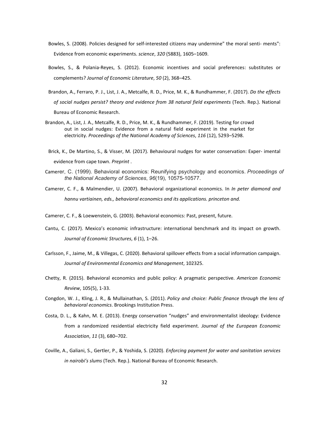- Bowles, S. (2008). Policies designed for self-interested citizens may undermine" the moral senti- ments": Evidence from economic experiments. *science*, *320* (5883), 1605–1609.
- Bowles, S., & Polania-Reyes, S. (2012). Economic incentives and social preferences: substitutes or complements? *Journal of Economic Literature*, *50* (2), 368–425.
- Brandon, A., Ferraro, P. J., List, J. A., Metcalfe, R. D., Price, M. K., & Rundhammer, F. (2017). *Do the effects of social nudges persist? theory and evidence from 38 natural field experiments* (Tech. Rep.). National Bureau of Economic Research.
- Brandon, A., List, J. A., Metcalfe, R. D., Price, M. K., & Rundhammer, F. (2019). Testing for crowd out in social nudges: Evidence from a natural field experiment in the market for electricity. *Proceedings of the National Academy of Sciences*, *116* (12), 5293–5298.
- Brick, K., De Martino, S., & Visser, M. (2017). Behavioural nudges for water conservation: Exper- imental evidence from cape town. *Preprint* .
- Camerer, C. (1999). Behavioral economics: Reunifying psychology and economics. *Proceedings of the National Academy of Sciences*, *96*(19), 10575-10577.
- Camerer, C. F., & Malmendier, U. (2007). Behavioral organizational economics. In *In peter diamond and hannu vartiainen, eds., behavioral economics and its applications. princeton and.*
- Camerer, C. F., & Loewenstein, G. (2003). Behavioral economics: Past, present, future.
- Cantu, C. (2017). Mexico's economic infrastructure: international benchmark and its impact on growth. *Journal of Economic Structures*, *6* (1), 1–26.
- Carlsson, F., Jaime, M., & Villegas, C. (2020). Behavioral spillover effects from a social information campaign. *Journal of Environmental Economics and Management*, 102325.
- Chetty, R. (2015). Behavioral economics and public policy: A pragmatic perspective. *American Economic Review*, 105(5), 1-33.
- Congdon, W. J., Kling, J. R., & Mullainathan, S. (2011). *Policy and choice: Public finance through the lens of behavioral economics*. Brookings Institution Press.
- Costa, D. L., & Kahn, M. E. (2013). Energy conservation "nudges" and environmentalist ideology: Evidence from a randomized residential electricity field experiment. *Journal of the European Economic Association*, *11* (3), 680–702.
- Coville, A., Galiani, S., Gertler, P., & Yoshida, S. (2020). *Enforcing payment for water and sanitation services in nairobi's slums* (Tech. Rep.). National Bureau of Economic Research.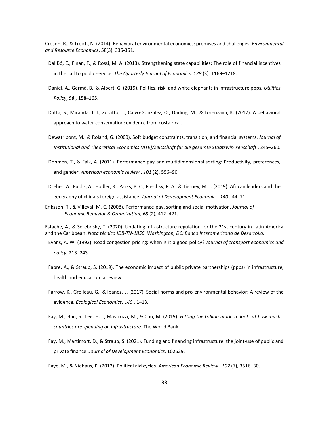Croson, R., & Treich, N. (2014). Behavioral environmental economics: promises and challenges. *Environmental and Resource Economics*, 58(3), 335-351.

- Dal Bó, E., Finan, F., & Rossi, M. A. (2013). Strengthening state capabilities: The role of financial incentives in the call to public service. *The Quarterly Journal of Economics*, *128* (3), 1169–1218.
- Daniel, A., Germà, B., & Albert, G. (2019). Politics, risk, and white elephants in infrastructure ppps. *Utilities Policy*, *58* , 158–165.
- Datta, S., Miranda, J. J., Zoratto, L., Calvo-González, O., Darling, M., & Lorenzana, K. (2017). A behavioral approach to water conservation: evidence from costa rica..
- Dewatripont, M., & Roland, G. (2000). Soft budget constraints, transition, and financial systems. *Journal of Institutional and Theoretical Economics (JITE)/Zeitschrift für die gesamte Staatswis- senschaft* , 245–260.
- Dohmen, T., & Falk, A. (2011). Performance pay and multidimensional sorting: Productivity, preferences, and gender. *American economic review* , *101* (2), 556–90.
- Dreher, A., Fuchs, A., Hodler, R., Parks, B. C., Raschky, P. A., & Tierney, M. J. (2019). African leaders and the geography of china's foreign assistance. *Journal of Development Economics*, *140* , 44–71.
- Eriksson, T., & Villeval, M. C. (2008). Performance-pay, sorting and social motivation. *Journal of Economic Behavior & Organization*, *68* (2), 412–421.

Estache, A., & Serebrisky, T. (2020). Updating infrastructure regulation for the 21st century in Latin America and the Caribbean. *Nota técnica IDB-TN-1856. Washington, DC: Banco Interamericano de Desarrollo*.

- Evans, A. W. (1992). Road congestion pricing: when is it a good policy? *Journal of transport economics and policy*, 213–243.
- Fabre, A., & Straub, S. (2019). The economic impact of public private partnerships (ppps) in infrastructure, health and education: a review.
- Farrow, K., Grolleau, G., & Ibanez, L. (2017). Social norms and pro-environmental behavior: A review of the evidence. *Ecological Economics*, *140* , 1–13.
- Fay, M., Han, S., Lee, H. I., Mastruzzi, M., & Cho, M. (2019). *Hitting the trillion mark: a look at how much countries are spending on infrastructure*. The World Bank.
- Fay, M., Martimort, D., & Straub, S. (2021). Funding and financing infrastructure: the joint-use of public and private finance. *Journal of Development Economics*, 102629.
- Faye, M., & Niehaus, P. (2012). Political aid cycles. *American Economic Review* , *102* (7), 3516–30.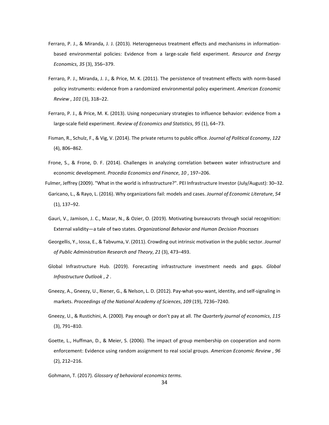- Ferraro, P. J., & Miranda, J. J. (2013). Heterogeneous treatment effects and mechanisms in informationbased environmental policies: Evidence from a large-scale field experiment. *Resource and Energy Economics*, *35* (3), 356–379.
- Ferraro, P. J., Miranda, J. J., & Price, M. K. (2011). The persistence of treatment effects with norm-based policy instruments: evidence from a randomized environmental policy experiment. *American Economic Review* , *101* (3), 318–22.
- Ferraro, P. J., & Price, M. K. (2013). Using nonpecuniary strategies to influence behavior: evidence from a large-scale field experiment. *Review of Economics and Statistics*, *95* (1), 64–73.
- Fisman, R., Schulz, F., & Vig, V. (2014). The private returns to public office. *Journal of Political Economy*, *122*  (4), 806–862.
- Frone, S., & Frone, D. F. (2014). Challenges in analyzing correlation between water infrastructure and economic development. *Procedia Economics and Finance*, *10* , 197–206.
- Fulmer, Jeffrey (2009). "What in the world is infrastructure?". PEI Infrastructure Investor (July/August): 30–32. Garicano, L., & Rayo, L. (2016). Why organizations fail: models and cases. *Journal of Economic Literature*, *54*  (1), 137–92.
- Gauri, V., Jamison, J. C., Mazar, N., & Ozier, O. (2019). Motivating bureaucrats through social recognition: External validity—a tale of two states. *Organizational Behavior and Human Decision Processes*
- Georgellis, Y., Iossa, E., & Tabvuma, V. (2011). Crowding out intrinsic motivation in the public sector. *Journal of Public Administration Research and Theory*, *21* (3), 473–493.
- Global Infrastructure Hub. (2019). Forecasting infrastructure investment needs and gaps. *Global Infrastructure Outlook* , *2* .
- Gneezy, A., Gneezy, U., Riener, G., & Nelson, L. D. (2012). Pay-what-you-want, identity, and self-signaling in markets. *Proceedings of the National Academy of Sciences*, *109* (19), 7236–7240.
- Gneezy, U., & Rustichini, A. (2000). Pay enough or don't pay at all. *The Quarterly journal of economics*, *115*  (3), 791–810.
- Goette, L., Huffman, D., & Meier, S. (2006). The impact of group membership on cooperation and norm enforcement: Evidence using random assignment to real social groups. *American Economic Review* , *96*  (2), 212–216.
- Gohmann, T. (2017). *Glossary of behavioral economics terms.*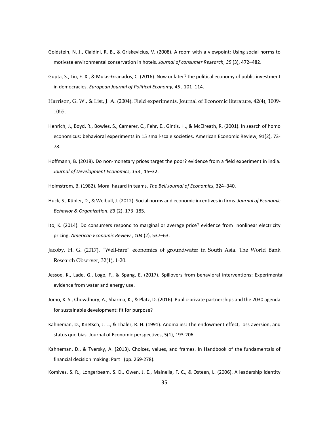- Goldstein, N. J., Cialdini, R. B., & Griskevicius, V. (2008). A room with a viewpoint: Using social norms to motivate environmental conservation in hotels. *Journal of consumer Research*, *35* (3), 472–482.
- Gupta, S., Liu, E. X., & Mulas-Granados, C. (2016). Now or later? the political economy of public investment in democracies. *European Journal of Political Economy*, *45* , 101–114.
- Harrison, G. W., & List, J. A. (2004). Field experiments. Journal of Economic literature, 42(4), 1009- 1055.
- Henrich, J., Boyd, R., Bowles, S., Camerer, C., Fehr, E., Gintis, H., & McElreath, R. (2001). In search of homo economicus: behavioral experiments in 15 small-scale societies. American Economic Review, 91(2), 73- 78.
- Hoffmann, B. (2018). Do non-monetary prices target the poor? evidence from a field experiment in india. *Journal of Development Economics*, *133* , 15–32.
- Holmstrom, B. (1982). Moral hazard in teams. *The Bell Journal of Economics*, 324–340.
- Huck, S., Kübler, D., & Weibull, J. (2012). Social norms and economic incentives in firms. *Journal of Economic Behavior & Organization*, *83* (2), 173–185.
- Ito, K. (2014). Do consumers respond to marginal or average price? evidence from nonlinear electricity pricing. *American Economic Review* , *104* (2), 537–63.
- Jacoby, H. G. (2017). "Well-fare" economics of groundwater in South Asia. The World Bank Research Observer, 32(1), 1-20.
- Jessoe, K., Lade, G., Loge, F., & Spang, E. (2017). Spillovers from behavioral interventions: Experimental evidence from water and energy use.
- Jomo, K. S., Chowdhury, A., Sharma, K., & Platz, D. (2016). Public-private partnerships and the 2030 agenda for sustainable development: fit for purpose?
- Kahneman, D., Knetsch, J. L., & Thaler, R. H. (1991). Anomalies: The endowment effect, loss aversion, and status quo bias. Journal of Economic perspectives, 5(1), 193-206.
- Kahneman, D., & Tversky, A. (2013). Choices, values, and frames. In Handbook of the fundamentals of financial decision making: Part I (pp. 269-278).
- Komives, S. R., Longerbeam, S. D., Owen, J. E., Mainella, F. C., & Osteen, L. (2006). A leadership identity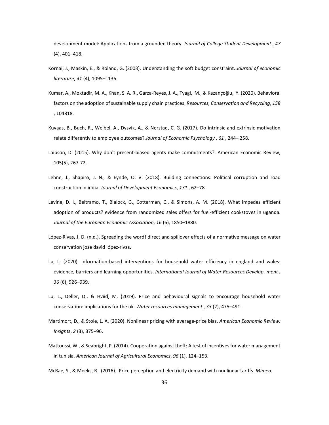development model: Applications from a grounded theory. *Journal of College Student Development* , *47*  (4), 401–418.

- Kornai, J., Maskin, E., & Roland, G. (2003). Understanding the soft budget constraint. *Journal of economic literature*, *41* (4), 1095–1136.
- Kumar, A., Moktadir, M. A., Khan, S. A. R., Garza-Reyes, J. A., Tyagi, M., & Kazançoğlu, Y. (2020). Behavioral factors on the adoption of sustainable supply chain practices. *Resources, Conservation and Recycling*, *158*  , 104818.
- Kuvaas, B., Buch, R., Weibel, A., Dysvik, A., & Nerstad, C. G. (2017). Do intrinsic and extrinsic motivation relate differently to employee outcomes? *Journal of Economic Psychology* , *61* , 244– 258.
- Laibson, D. (2015). Why don't present-biased agents make commitments?. American Economic Review, 105(5), 267-72.
- Lehne, J., Shapiro, J. N., & Eynde, O. V. (2018). Building connections: Political corruption and road construction in india. *Journal of Development Economics*, *131* , 62–78.
- Levine, D. I., Beltramo, T., Blalock, G., Cotterman, C., & Simons, A. M. (2018). What impedes efficient adoption of products? evidence from randomized sales offers for fuel-efficient cookstoves in uganda. *Journal of the European Economic Association*, *16* (6), 1850–1880.
- López-Rivas, J. D. (n.d.). Spreading the word! direct and spillover effects of a normative message on water conservation josé david lópez-rivas.
- Lu, L. (2020). Information-based interventions for household water efficiency in england and wales: evidence, barriers and learning opportunities. *International Journal of Water Resources Develop- ment* , *36* (6), 926–939.
- Lu, L., Deller, D., & Hviid, M. (2019). Price and behavioural signals to encourage household water conservation: implications for the uk. *Water resources management* , *33* (2), 475–491.
- Martimort, D., & Stole, L. A. (2020). Nonlinear pricing with average-price bias. *American Economic Review: Insights*, *2* (3), 375–96.
- Mattoussi, W., & Seabright, P. (2014). Cooperation against theft: A test of incentives for water management in tunisia. *American Journal of Agricultural Economics*, *96* (1), 124–153.

McRae, S., & Meeks, R. (2016). Price perception and electricity demand with nonlinear tariffs. *Mimeo.*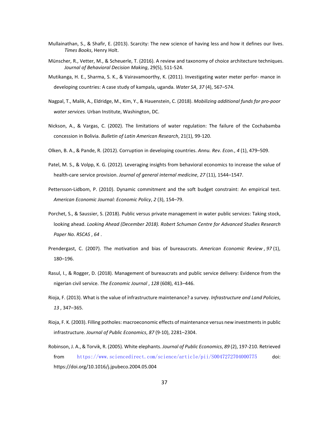- Mullainathan, S., & Shafir, E. (2013). Scarcity: The new science of having less and how it defines our lives. *Times Books*, Henry Holt.
- Münscher, R., Vetter, M., & Scheuerle, T. (2016). A review and taxonomy of choice architecture techniques. *Journal of Behavioral Decision Making*, 29(5), 511-524.
- Mutikanga, H. E., Sharma, S. K., & Vairavamoorthy, K. (2011). Investigating water meter perfor- mance in developing countries: A case study of kampala, uganda. *Water SA*, *37* (4), 567–574.
- Nagpal, T., Malik, A., Eldridge, M., Kim, Y., & Hauenstein, C. (2018). *Mobilizing additional funds for pro-poor water services.* Urban Institute, Washington, DC.
- Nickson, A., & Vargas, C. (2002). The limitations of water regulation: The failure of the Cochabamba concession in Bolivia. *Bulletin of Latin American Research*, 21(1), 99-120.
- Olken, B. A., & Pande, R. (2012). Corruption in developing countries. *Annu. Rev. Econ.*, *4* (1), 479–509.
- Patel, M. S., & Volpp, K. G. (2012). Leveraging insights from behavioral economics to increase the value of health-care service provision. *Journal of general internal medicine*, *27* (11), 1544–1547.
- Pettersson-Lidbom, P. (2010). Dynamic commitment and the soft budget constraint: An empirical test. *American Economic Journal: Economic Policy*, *2* (3), 154–79.
- Porchet, S., & Saussier, S. (2018). Public versus private management in water public services: Taking stock, looking ahead. *Looking Ahead (December 2018). Robert Schuman Centre for Advanced Studies Research Paper No. RSCAS* , *64* .
- Prendergast, C. (2007). The motivation and bias of bureaucrats. *American Economic Review* , *97* (1), 180–196.
- Rasul, I., & Rogger, D. (2018). Management of bureaucrats and public service delivery: Evidence from the nigerian civil service. *The Economic Journal* , *128* (608), 413–446.
- Rioja, F. (2013). What is the value of infrastructure maintenance? a survey. *Infrastructure and Land Policies*, *13* , 347–365.
- Rioja, F. K. (2003). Filling potholes: macroeconomic effects of maintenance versus new investments in public infrastructure. *Journal of Public Economics*, *87* (9-10), 2281–2304.
- Robinson, J. A., & Torvik, R. (2005). White elephants. *Journal of Public Economics*, *89* (2), 197-210. Retrieved from <https://www.sciencedirect.com/science/article/pii/S0047272704000775> doi: https://doi.org/10.1016/j.jpubeco.2004.05.004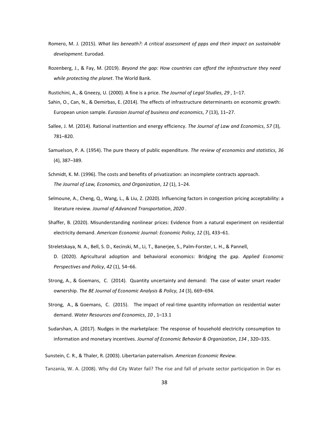- Romero, M. J. (2015). *What lies beneath?: A critical assessment of ppps and their impact on sustainable development*. Eurodad.
- Rozenberg, J., & Fay, M. (2019). *Beyond the gap: How countries can afford the infrastructure they need while protecting the planet*. The World Bank.
- Rustichini, A., & Gneezy, U. (2000). A fine is a price. *The Journal of Legal Studies*, *29* , 1–17.
- Sahin, O., Can, N., & Demirbas, E. (2014). The effects of infrastructure determinants on economic growth: European union sample. *Eurasian Journal of business and economics*, *7* (13), 11–27.
- Sallee, J. M. (2014). Rational inattention and energy efficiency. *The Journal of Law and Economics*, *57* (3), 781–820.
- Samuelson, P. A. (1954). The pure theory of public expenditure. *The review of economics and statistics*, *36*  (4), 387–389.
- Schmidt, K. M. (1996). The costs and benefits of privatization: an incomplete contracts approach. *The Journal of Law, Economics, and Organization*, *12* (1), 1–24.
- Selmoune, A., Cheng, Q., Wang, L., & Liu, Z. (2020). Influencing factors in congestion pricing acceptability: a literature review. *Journal of Advanced Transportation*, *2020* .
- Shaffer, B. (2020). Misunderstanding nonlinear prices: Evidence from a natural experiment on residential electricity demand. *American Economic Journal: Economic Policy*, *12* (3), 433–61.
- Streletskaya, N. A., Bell, S. D., Kecinski, M., Li, T., Banerjee, S., Palm-Forster, L. H., & Pannell, D. (2020). Agricultural adoption and behavioral economics: Bridging the gap. *Applied Economic Perspectives and Policy*, *42* (1), 54–66.
- Strong, A., & Goemans, C. (2014). Quantity uncertainty and demand: The case of water smart reader ownership. *The BE Journal of Economic Analysis & Policy*, *14* (3), 669–694.
- Strong, A., & Goemans, C. (2015). The impact of real-time quantity information on residential water demand. *Water Resources and Economics*, *10* , 1–13.1
- Sudarshan, A. (2017). Nudges in the marketplace: The response of household electricity consumption to information and monetary incentives. *Journal of Economic Behavior & Organization*, *134* , 320–335.

Sunstein, C. R., & Thaler, R. (2003). Libertarian paternalism. *American Economic Review*.

Tanzania, W. A. (2008). Why did City Water fail? The rise and fall of private sector participation in Dar es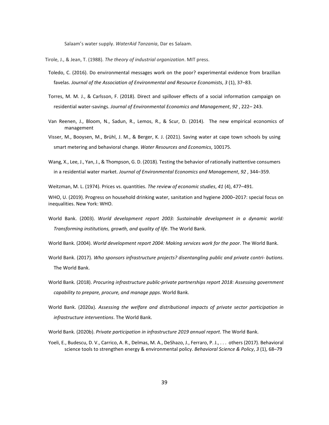Salaam's water supply. *WaterAid Tanzania*, Dar es Salaam.

Tirole, J., & Jean, T. (1988). *The theory of industrial organization*. MIT press.

- Toledo, C. (2016). Do environmental messages work on the poor? experimental evidence from brazilian favelas. *Journal of the Association of Environmental and Resource Economists*, *3* (1), 37–83.
- Torres, M. M. J., & Carlsson, F. (2018). Direct and spillover effects of a social information campaign on residential water-savings. *Journal of Environmental Economics and Management*, *92* , 222– 243.
- Van Reenen, J., Bloom, N., Sadun, R., Lemos, R., & Scur, D. (2014). The new empirical economics of management
- Visser, M., Booysen, M., Brühl, J. M., & Berger, K. J. (2021). Saving water at cape town schools by using smart metering and behavioral change. *Water Resources and Economics*, 100175.
- Wang, X., Lee, J., Yan, J., & Thompson, G. D. (2018). Testing the behavior of rationally inattentive consumers in a residential water market. *Journal of Environmental Economics and Management*, *92* , 344–359.

Weitzman, M. L. (1974). Prices vs. quantities. *The review of economic studies*, *41* (4), 477–491.

WHO, U. (2019). Progress on household drinking water, sanitation and hygiene 2000–2017: special focus on inequalities. New York: WHO.

World Bank. (2003). *World development report 2003: Sustainable development in a dynamic world: Transforming institutions, growth, and quality of life*. The World Bank.

World Bank. (2004). *World development report 2004: Making services work for the poor*. The World Bank.

- World Bank. (2017). *Who sponsors infrastructure projects? disentangling public and private contri- butions*. The World Bank.
- World Bank. (2018). *Procuring infrastructure public-private partnerships report 2018: Assessing government capability to prepare, procure, and manage ppps*. World Bank.
- World Bank. (2020a). *Assessing the welfare and distributional impacts of private sector participation in infrastructure interventions*. The World Bank.

World Bank. (2020b). *Private participation in infrastructure 2019 annual report*. The World Bank.

<span id="page-40-0"></span>Yoeli, E., Budescu, D. V., Carrico, A. R., Delmas, M. A., DeShazo, J., Ferraro, P. J., . . . others (2017). Behavioral science tools to strengthen energy & environmental policy. *Behavioral Science & Policy*, *3* (1), 68–79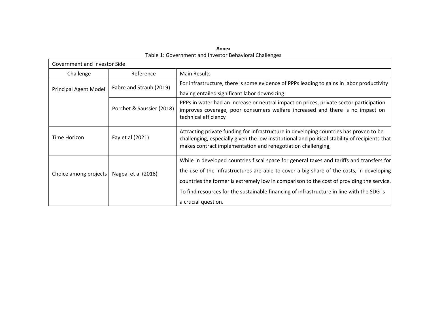<span id="page-41-0"></span>

| Government and Investor Side |                           |                                                                                                                                                                                                                                                          |  |
|------------------------------|---------------------------|----------------------------------------------------------------------------------------------------------------------------------------------------------------------------------------------------------------------------------------------------------|--|
| Challenge                    | Reference                 | <b>Main Results</b>                                                                                                                                                                                                                                      |  |
| <b>Principal Agent Model</b> | Fabre and Straub (2019)   | For infrastructure, there is some evidence of PPPs leading to gains in labor productivity                                                                                                                                                                |  |
|                              |                           | having entailed significant labor downsizing.                                                                                                                                                                                                            |  |
|                              | Porchet & Saussier (2018) | PPPs in water had an increase or neutral impact on prices, private sector participation<br>improves coverage, poor consumers welfare increased and there is no impact on<br>technical efficiency                                                         |  |
| Time Horizon                 | Fay et al (2021)          | Attracting private funding for infrastructure in developing countries has proven to be<br>challenging, especially given the low institutional and political stability of recipients that<br>makes contract implementation and renegotiation challenging, |  |
|                              |                           | While in developed countries fiscal space for general taxes and tariffs and transfers for<br>the use of the infrastructures are able to cover a big share of the costs, in developing                                                                    |  |
| Choice among projects        | Nagpal et al (2018)       | countries the former is extremely low in comparison to the cost of providing the service.                                                                                                                                                                |  |
|                              |                           | To find resources for the sustainable financing of infrastructure in line with the SDG is                                                                                                                                                                |  |
|                              |                           | a crucial question.                                                                                                                                                                                                                                      |  |

**Annex** Table 1: Government and Investor Behavioral Challenges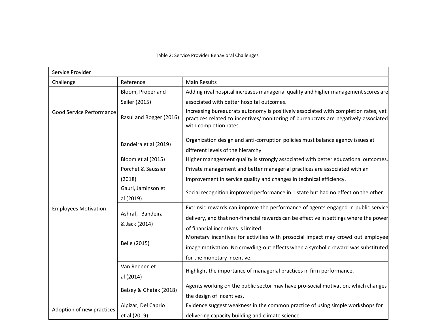#### Table 2: Service Provider Behavioral Challenges

| Service Provider            |                                     |                                                                                                                                                                                                                   |
|-----------------------------|-------------------------------------|-------------------------------------------------------------------------------------------------------------------------------------------------------------------------------------------------------------------|
| Challenge                   | Reference                           | <b>Main Results</b>                                                                                                                                                                                               |
|                             | Bloom, Proper and                   | Adding rival hospital increases managerial quality and higher management scores are                                                                                                                               |
|                             | Seiler (2015)                       | associated with better hospital outcomes.                                                                                                                                                                         |
| Good Service Performance    | Rasul and Rogger (2016)             | Increasing bureaucrats autonomy is positively associated with completion rates, yet<br>practices related to incentives/monitoring of bureaucrats are negatively associated<br>with completion rates.              |
|                             | Bandeira et al (2019)               | Organization design and anti-corruption policies must balance agency issues at<br>different levels of the hierarchy.                                                                                              |
|                             | Bloom et al (2015)                  | Higher management quality is strongly associated with better educational outcomes.                                                                                                                                |
|                             | Porchet & Saussier                  | Private management and better managerial practices are associated with an                                                                                                                                         |
|                             | (2018)                              | improvement in service quality and changes in technical efficiency.                                                                                                                                               |
|                             | Gauri, Jaminson et<br>al (2019)     | Social recognition improved performance in 1 state but had no effect on the other                                                                                                                                 |
| <b>Employees Motivation</b> | Ashraf, Bandeira<br>& Jack (2014)   | Extrinsic rewards can improve the performance of agents engaged in public service<br>delivery, and that non-financial rewards can be effective in settings where the power<br>of financial incentives is limited. |
|                             | Belle (2015)                        | Monetary incentives for activities with prosocial impact may crowd out employee<br>image motivation. No crowding-out effects when a symbolic reward was substituted<br>for the monetary incentive.                |
|                             | Van Reenen et<br>al (2014)          | Highlight the importance of managerial practices in firm performance.                                                                                                                                             |
|                             | Belsey & Ghatak (2018)              | Agents working on the public sector may have pro-social motivation, which changes<br>the design of incentives.                                                                                                    |
| Adoption of new practices   | Alpizar, Del Caprio<br>et al (2019) | Evidence suggest weakness in the common practice of using simple workshops for<br>delivering capacity building and climate science.                                                                               |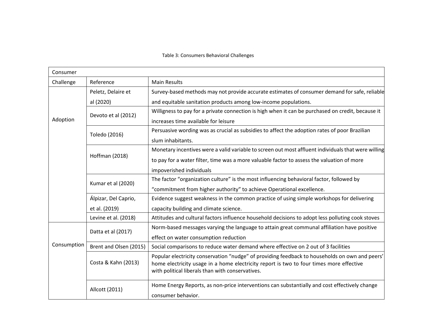#### Table 3: Consumers Behavioral Challenges

| Consumer    |                        |                                                                                                                                                                                                                                               |
|-------------|------------------------|-----------------------------------------------------------------------------------------------------------------------------------------------------------------------------------------------------------------------------------------------|
| Challenge   | Reference              | <b>Main Results</b>                                                                                                                                                                                                                           |
|             | Peletz, Delaire et     | Survey-based methods may not provide accurate estimates of consumer demand for safe, reliable                                                                                                                                                 |
|             | al (2020)              | and equitable sanitation products among low-income populations.                                                                                                                                                                               |
| Adoption    | Devoto et al (2012)    | Willigness to pay for a private connection is high when it can be purchased on credit, because it                                                                                                                                             |
|             |                        | increases time available for leisure                                                                                                                                                                                                          |
|             | Toledo (2016)          | Persuasive wording was as crucial as subsidies to affect the adoption rates of poor Brazilian                                                                                                                                                 |
|             |                        | slum inhabitants.                                                                                                                                                                                                                             |
|             |                        | Monetary incentives were a valid variable to screen out most affluent individuals that were willing                                                                                                                                           |
|             | Hoffman (2018)         | to pay for a water filter, time was a more valuable factor to assess the valuation of more                                                                                                                                                    |
|             |                        | impoverished individuals                                                                                                                                                                                                                      |
|             | Kumar et al (2020)     | The factor "organization culture" is the most influencing behavioral factor, followed by                                                                                                                                                      |
|             |                        | "commitment from higher authority" to achieve Operational excellence.                                                                                                                                                                         |
|             | Álpizar, Del Caprio,   | Evidence suggest weakness in the common practice of using simple workshops for delivering                                                                                                                                                     |
|             | et al. (2019)          | capacity building and climate science.                                                                                                                                                                                                        |
|             | Levine et al. (2018)   | Attitudes and cultural factors influence household decisions to adopt less polluting cook stoves                                                                                                                                              |
| Consumption | Datta et al (2017)     | Norm-based messages varying the language to attain great communal affiliation have positive                                                                                                                                                   |
|             |                        | effect on water consumption reduction                                                                                                                                                                                                         |
|             | Brent and Olsen (2015) | Social comparisons to reduce water demand where effective on 2 out of 3 facilities                                                                                                                                                            |
|             | Costa & Kahn (2013)    | Popular electricity conservation "nudge" of providing feedback to households on own and peers'<br>home electricity usage in a home electricity report is two to four times more effective<br>with political liberals than with conservatives. |
|             | Allcott (2011)         | Home Energy Reports, as non-price interventions can substantially and cost effectively change<br>consumer behavior.                                                                                                                           |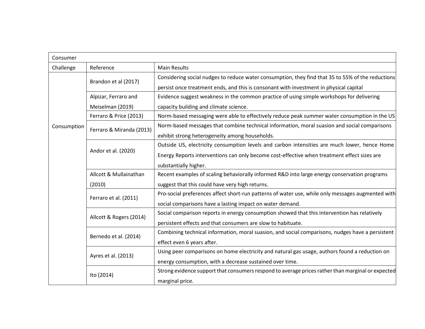| Consumer    |                          |                                                                                                   |
|-------------|--------------------------|---------------------------------------------------------------------------------------------------|
| Challenge   | Reference                | <b>Main Results</b>                                                                               |
| Consumption | Brandon et al (2017)     | Considering social nudges to reduce water consumption, they find that 35 to 55% of the reductions |
|             |                          | persist once treatment ends, and this is consonant with investment in physical capital            |
|             | Alpizar, Ferraro and     | Evidence suggest weakness in the common practice of using simple workshops for delivering         |
|             | Meiselman (2019)         | capacity building and climate science.                                                            |
|             | Ferraro & Price (2013)   | Norm-based messaging were able to effectively reduce peak summer water consumption in the US      |
|             | Ferraro & Miranda (2013) | Norm-based messages that combine technical information, moral suasion and social comparisons      |
|             |                          | exhibit strong heterogeneity among households.                                                    |
|             |                          | Outside US, electricity consumption levels and carbon intensities are much lower, hence Home      |
|             | Andor et al. (2020)      | Energy Reports interventions can only become cost-effective when treatment effect sizes are       |
|             |                          | substantially higher.                                                                             |
|             | Allcott & Mullainathan   | Recent examples of scaling behaviorally informed R&D into large energy conservation programs      |
|             | (2010)                   | suggest that this could have very high returns.                                                   |
|             | Ferraro et al. (2011)    | Pro-social preferences affect short-run patterns of water use, while only messages augmented with |
|             |                          | social comparisons have a lasting impact on water demand.                                         |
|             | Allcott & Rogers (2014)  | Social comparison reports in energy consumption showed that this intervention has relatively      |
|             |                          | persistent effects and that consumers are slow to habituate.                                      |
|             | Bernedo et al. (2014)    | Combining technical information, moral suasion, and social comparisons, nudges have a persistent  |
|             |                          | effect even 6 years after.                                                                        |
|             | Ayres et al. (2013)      | Using peer comparisons on home electricity and natural gas usage, authors found a reduction on    |
|             |                          | energy consumption, with a decrease sustained over time.                                          |
|             | Ito (2014)               | Strong evidence support that consumers respond to average prices rather than marginal or expected |
|             |                          | marginal price.                                                                                   |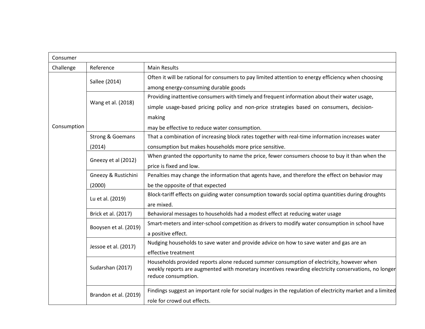| Consumer    |                             |                                                                                                                             |
|-------------|-----------------------------|-----------------------------------------------------------------------------------------------------------------------------|
| Challenge   | Reference                   | <b>Main Results</b>                                                                                                         |
|             | Sallee (2014)               | Often it will be rational for consumers to pay limited attention to energy efficiency when choosing                         |
|             |                             | among energy-consuming durable goods                                                                                        |
|             |                             | Providing inattentive consumers with timely and frequent information about their water usage,                               |
|             | Wang et al. (2018)          | simple usage-based pricing policy and non-price strategies based on consumers, decision-                                    |
|             |                             | making                                                                                                                      |
| Consumption |                             | may be effective to reduce water consumption.                                                                               |
|             | <b>Strong &amp; Goemans</b> | That a combination of increasing block rates together with real-time information increases water                            |
|             | (2014)                      | consumption but makes households more price sensitive.                                                                      |
|             | Gneezy et al (2012)         | When granted the opportunity to name the price, fewer consumers choose to buy it than when the                              |
|             |                             | price is fixed and low.                                                                                                     |
|             | Gneezy & Rustichini         | Penalties may change the information that agents have, and therefore the effect on behavior may                             |
|             | (2000)                      | be the opposite of that expected                                                                                            |
|             | Lu et al. (2019)            | Block-tariff effects on guiding water consumption towards social optima quantities during droughts                          |
|             |                             | are mixed.                                                                                                                  |
|             | Brick et al. (2017)         | Behavioral messages to households had a modest effect at reducing water usage                                               |
|             | Booysen et al. (2019)       | Smart-meters and inter-school competition as drivers to modify water consumption in school have                             |
|             |                             | a positive effect.                                                                                                          |
|             | Jessoe et al. (2017)        | Nudging households to save water and provide advice on how to save water and gas are an                                     |
|             |                             | effective treatment                                                                                                         |
|             |                             | Households provided reports alone reduced summer consumption of electricity, however when                                   |
|             | Sudarshan (2017)            | weekly reports are augmented with monetary incentives rewarding electricity conservations, no longer<br>reduce consumption. |
|             |                             |                                                                                                                             |
|             | Brandon et al. (2019)       | Findings suggest an important role for social nudges in the regulation of electricity market and a limited                  |
|             |                             | role for crowd out effects.                                                                                                 |